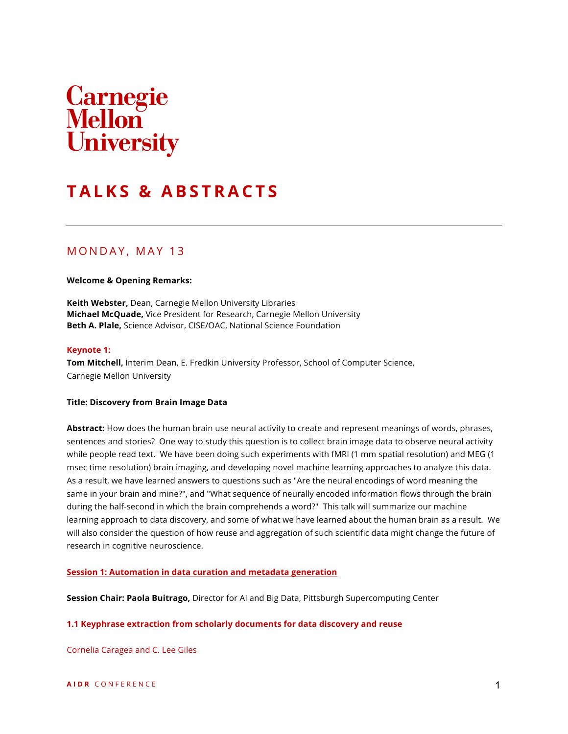# **Carnegie<br>Mellon<br>University**

# **TALKS & ABSTRACTS**

# MONDAY, MAY 13

### **Welcome & Opening Remarks:**

**Keith Webster,** Dean, Carnegie Mellon University Libraries **Michael McQuade,** Vice President for Research, Carnegie Mellon University **Beth A. Plale,** Science Advisor, CISE/OAC, National Science Foundation

### **Keynote 1:**

**Tom Mitchell,** Interim Dean, E. Fredkin University Professor, School of Computer Science, Carnegie Mellon University

### **Title: Discovery from Brain Image Data**

**Abstract:** How does the human brain use neural activity to create and represent meanings of words, phrases, sentences and stories? One way to study this question is to collect brain image data to observe neural activity while people read text. We have been doing such experiments with fMRI (1 mm spatial resolution) and MEG (1 msec time resolution) brain imaging, and developing novel machine learning approaches to analyze this data. As a result, we have learned answers to questions such as "Are the neural encodings of word meaning the same in your brain and mine?", and "What sequence of neurally encoded information flows through the brain during the half-second in which the brain comprehends a word?" This talk will summarize our machine learning approach to data discovery, and some of what we have learned about the human brain as a result. We will also consider the question of how reuse and aggregation of such scientific data might change the future of research in cognitive neuroscience.

### **Session 1: Automation in data curation and metadata generation**

**Session Chair: Paola Buitrago,** Director for AI and Big Data, Pittsburgh Supercomputing Center

### **1.1 Keyphrase extraction from scholarly documents for data discovery and reuse**

Cornelia Caragea and C. Lee Giles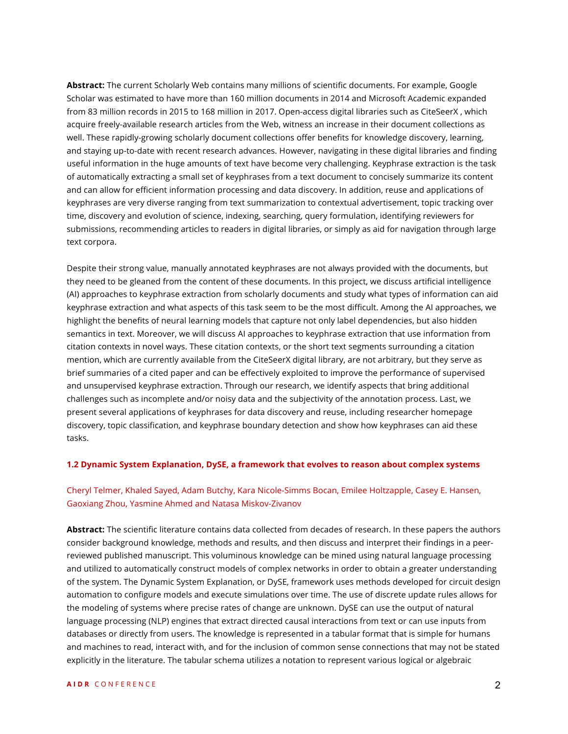**Abstract:** The current Scholarly Web contains many millions of scientific documents. For example, Google Scholar was estimated to have more than 160 million documents in 2014 and Microsoft Academic expanded from 83 million records in 2015 to 168 million in 2017. Open-access digital libraries such as CiteSeerX , which acquire freely-available research articles from the Web, witness an increase in their document collections as well. These rapidly-growing scholarly document collections offer benefits for knowledge discovery, learning, and staying up-to-date with recent research advances. However, navigating in these digital libraries and finding useful information in the huge amounts of text have become very challenging. Keyphrase extraction is the task of automatically extracting a small set of keyphrases from a text document to concisely summarize its content and can allow for efficient information processing and data discovery. In addition, reuse and applications of keyphrases are very diverse ranging from text summarization to contextual advertisement, topic tracking over time, discovery and evolution of science, indexing, searching, query formulation, identifying reviewers for submissions, recommending articles to readers in digital libraries, or simply as aid for navigation through large text corpora.

Despite their strong value, manually annotated keyphrases are not always provided with the documents, but they need to be gleaned from the content of these documents. In this project, we discuss artificial intelligence (AI) approaches to keyphrase extraction from scholarly documents and study what types of information can aid keyphrase extraction and what aspects of this task seem to be the most difficult. Among the AI approaches, we highlight the benefits of neural learning models that capture not only label dependencies, but also hidden semantics in text. Moreover, we will discuss AI approaches to keyphrase extraction that use information from citation contexts in novel ways. These citation contexts, or the short text segments surrounding a citation mention, which are currently available from the CiteSeerX digital library, are not arbitrary, but they serve as brief summaries of a cited paper and can be effectively exploited to improve the performance of supervised and unsupervised keyphrase extraction. Through our research, we identify aspects that bring additional challenges such as incomplete and/or noisy data and the subjectivity of the annotation process. Last, we present several applications of keyphrases for data discovery and reuse, including researcher homepage discovery, topic classification, and keyphrase boundary detection and show how keyphrases can aid these tasks.

### **1.2 Dynamic System Explanation, DySE, a framework that evolves to reason about complex systems**

# Cheryl Telmer, Khaled Sayed, Adam Butchy, Kara Nicole-Simms Bocan, Emilee Holtzapple, Casey E. Hansen, Gaoxiang Zhou, Yasmine Ahmed and Natasa Miskov-Zivanov

**Abstract:** The scientific literature contains data collected from decades of research. In these papers the authors consider background knowledge, methods and results, and then discuss and interpret their findings in a peerreviewed published manuscript. This voluminous knowledge can be mined using natural language processing and utilized to automatically construct models of complex networks in order to obtain a greater understanding of the system. The Dynamic System Explanation, or DySE, framework uses methods developed for circuit design automation to configure models and execute simulations over time. The use of discrete update rules allows for the modeling of systems where precise rates of change are unknown. DySE can use the output of natural language processing (NLP) engines that extract directed causal interactions from text or can use inputs from databases or directly from users. The knowledge is represented in a tabular format that is simple for humans and machines to read, interact with, and for the inclusion of common sense connections that may not be stated explicitly in the literature. The tabular schema utilizes a notation to represent various logical or algebraic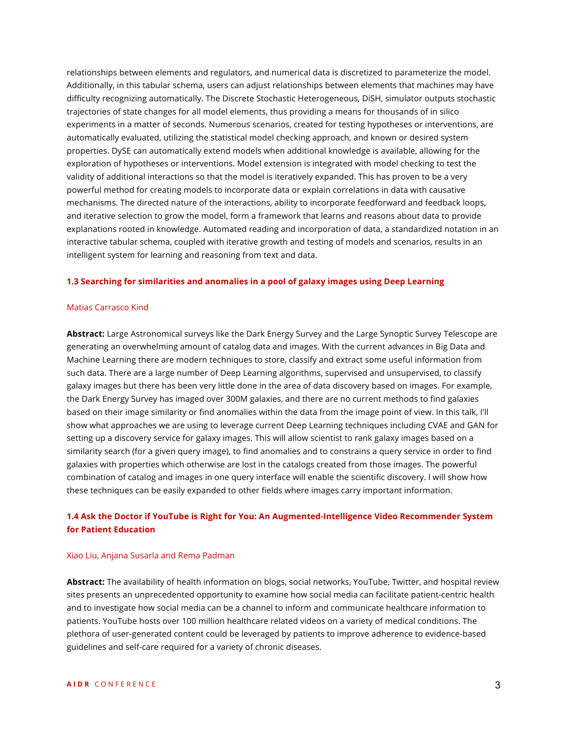relationships between elements and regulators, and numerical data is discretized to parameterize the model. Additionally, in this tabular schema, users can adjust relationships between elements that machines may have difficulty recognizing automatically. The Discrete Stochastic Heterogeneous, DiSH, simulator outputs stochastic trajectories of state changes for all model elements, thus providing a means for thousands of in silico experiments in a matter of seconds. Numerous scenarios, created for testing hypotheses or interventions, are automatically evaluated, utilizing the statistical model checking approach, and known or desired system properties. DySE can automatically extend models when additional knowledge is available, allowing for the exploration of hypotheses or interventions. Model extension is integrated with model checking to test the validity of additional interactions so that the model is iteratively expanded. This has proven to be a very powerful method for creating models to incorporate data or explain correlations in data with causative mechanisms. The directed nature of the interactions, ability to incorporate feedforward and feedback loops, and iterative selection to grow the model, form a framework that learns and reasons about data to provide explanations rooted in knowledge. Automated reading and incorporation of data, a standardized notation in an interactive tabular schema, coupled with iterative growth and testing of models and scenarios, results in an intelligent system for learning and reasoning from text and data.

### **1.3 Searching for similarities and anomalies in a pool of galaxy images using Deep Learning**

### Matias Carrasco Kind

**Abstract:** Large Astronomical surveys like the Dark Energy Survey and the Large Synoptic Survey Telescope are generating an overwhelming amount of catalog data and images. With the current advances in Big Data and Machine Learning there are modern techniques to store, classify and extract some useful information from such data. There are a large number of Deep Learning algorithms, supervised and unsupervised, to classify galaxy images but there has been very little done in the area of data discovery based on images. For example, the Dark Energy Survey has imaged over 300M galaxies, and there are no current methods to find galaxies based on their image similarity or find anomalies within the data from the image point of view. In this talk, I'll show what approaches we are using to leverage current Deep Learning techniques including CVAE and GAN for setting up a discovery service for galaxy images. This will allow scientist to rank galaxy images based on a similarity search (for a given query image), to find anomalies and to constrains a query service in order to find galaxies with properties which otherwise are lost in the catalogs created from those images. The powerful combination of catalog and images in one query interface will enable the scientific discovery. I will show how these techniques can be easily expanded to other fields where images carry important information.

# **1.4 Ask the Doctor if YouTube is Right for You: An Augmented-Intelligence Video Recommender System for Patient Education**

### Xiao Liu, Anjana Susarla and Rema Padman

**Abstract:** The availability of health information on blogs, social networks, YouTube, Twitter, and hospital review sites presents an unprecedented opportunity to examine how social media can facilitate patient-centric health and to investigate how social media can be a channel to inform and communicate healthcare information to patients. YouTube hosts over 100 million healthcare related videos on a variety of medical conditions. The plethora of user-generated content could be leveraged by patients to improve adherence to evidence-based guidelines and self-care required for a variety of chronic diseases.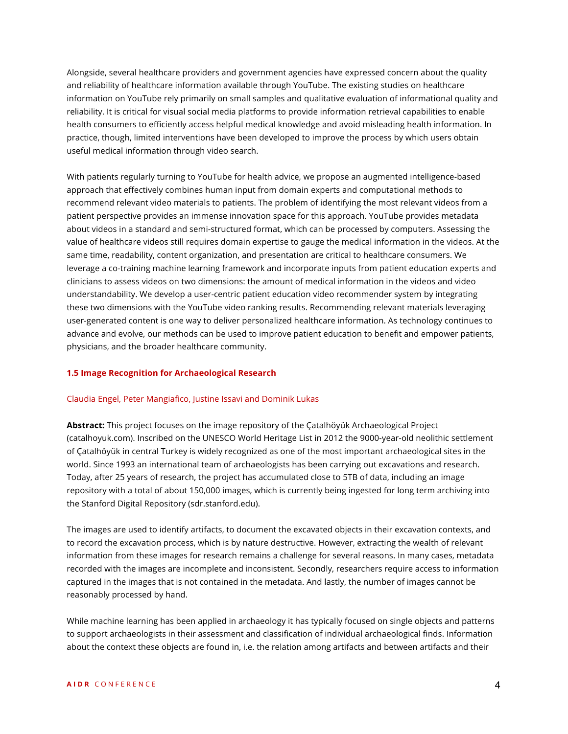Alongside, several healthcare providers and government agencies have expressed concern about the quality and reliability of healthcare information available through YouTube. The existing studies on healthcare information on YouTube rely primarily on small samples and qualitative evaluation of informational quality and reliability. It is critical for visual social media platforms to provide information retrieval capabilities to enable health consumers to efficiently access helpful medical knowledge and avoid misleading health information. In practice, though, limited interventions have been developed to improve the process by which users obtain useful medical information through video search.

With patients regularly turning to YouTube for health advice, we propose an augmented intelligence-based approach that effectively combines human input from domain experts and computational methods to recommend relevant video materials to patients. The problem of identifying the most relevant videos from a patient perspective provides an immense innovation space for this approach. YouTube provides metadata about videos in a standard and semi-structured format, which can be processed by computers. Assessing the value of healthcare videos still requires domain expertise to gauge the medical information in the videos. At the same time, readability, content organization, and presentation are critical to healthcare consumers. We leverage a co-training machine learning framework and incorporate inputs from patient education experts and clinicians to assess videos on two dimensions: the amount of medical information in the videos and video understandability. We develop a user-centric patient education video recommender system by integrating these two dimensions with the YouTube video ranking results. Recommending relevant materials leveraging user-generated content is one way to deliver personalized healthcare information. As technology continues to advance and evolve, our methods can be used to improve patient education to benefit and empower patients, physicians, and the broader healthcare community.

### **1.5 Image Recognition for Archaeological Research**

### Claudia Engel, Peter Mangiafico, Justine Issavi and Dominik Lukas

**Abstract:** This project focuses on the image repository of the Çatalhöyük Archaeological Project (catalhoyuk.com). Inscribed on the UNESCO World Heritage List in 2012 the 9000-year-old neolithic settlement of Çatalhöyük in central Turkey is widely recognized as one of the most important archaeological sites in the world. Since 1993 an international team of archaeologists has been carrying out excavations and research. Today, after 25 years of research, the project has accumulated close to 5TB of data, including an image repository with a total of about 150,000 images, which is currently being ingested for long term archiving into the Stanford Digital Repository (sdr.stanford.edu).

The images are used to identify artifacts, to document the excavated objects in their excavation contexts, and to record the excavation process, which is by nature destructive. However, extracting the wealth of relevant information from these images for research remains a challenge for several reasons. In many cases, metadata recorded with the images are incomplete and inconsistent. Secondly, researchers require access to information captured in the images that is not contained in the metadata. And lastly, the number of images cannot be reasonably processed by hand.

While machine learning has been applied in archaeology it has typically focused on single objects and patterns to support archaeologists in their assessment and classification of individual archaeological finds. Information about the context these objects are found in, i.e. the relation among artifacts and between artifacts and their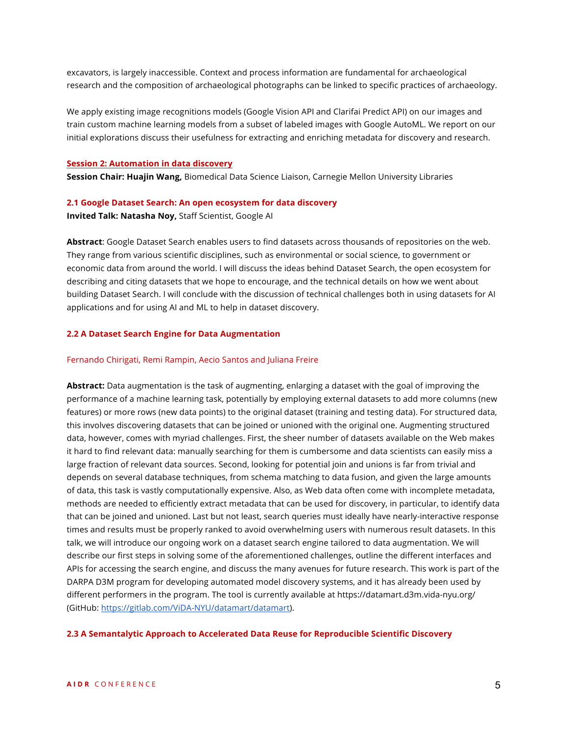excavators, is largely inaccessible. Context and process information are fundamental for archaeological research and the composition of archaeological photographs can be linked to specific practices of archaeology.

We apply existing image recognitions models (Google Vision API and Clarifai Predict API) on our images and train custom machine learning models from a subset of labeled images with Google AutoML. We report on our initial explorations discuss their usefulness for extracting and enriching metadata for discovery and research.

### **Session 2: Automation in data discovery**

**Session Chair: Huajin Wang,** Biomedical Data Science Liaison, Carnegie Mellon University Libraries

### **2.1 Google Dataset Search: An open ecosystem for data discovery**

**Invited Talk: Natasha Noy,** Staff Scientist, Google AI

**Abstract**: Google Dataset Search enables users to find datasets across thousands of repositories on the web. They range from various scientific disciplines, such as environmental or social science, to government or economic data from around the world. I will discuss the ideas behind Dataset Search, the open ecosystem for describing and citing datasets that we hope to encourage, and the technical details on how we went about building Dataset Search. I will conclude with the discussion of technical challenges both in using datasets for AI applications and for using AI and ML to help in dataset discovery.

### **2.2 A Dataset Search Engine for Data Augmentation**

### Fernando Chirigati, Remi Rampin, Aecio Santos and Juliana Freire

**Abstract:** Data augmentation is the task of augmenting, enlarging a dataset with the goal of improving the performance of a machine learning task, potentially by employing external datasets to add more columns (new features) or more rows (new data points) to the original dataset (training and testing data). For structured data, this involves discovering datasets that can be joined or unioned with the original one. Augmenting structured data, however, comes with myriad challenges. First, the sheer number of datasets available on the Web makes it hard to find relevant data: manually searching for them is cumbersome and data scientists can easily miss a large fraction of relevant data sources. Second, looking for potential join and unions is far from trivial and depends on several database techniques, from schema matching to data fusion, and given the large amounts of data, this task is vastly computationally expensive. Also, as Web data often come with incomplete metadata, methods are needed to efficiently extract metadata that can be used for discovery, in particular, to identify data that can be joined and unioned. Last but not least, search queries must ideally have nearly-interactive response times and results must be properly ranked to avoid overwhelming users with numerous result datasets. In this talk, we will introduce our ongoing work on a dataset search engine tailored to data augmentation. We will describe our first steps in solving some of the aforementioned challenges, outline the different interfaces and APIs for accessing the search engine, and discuss the many avenues for future research. This work is part of the DARPA D3M program for developing automated model discovery systems, and it has already been used by different performers in the program. The tool is currently available at https://datamart.d3m.vida-nyu.org/ (GitHub: https://gitlab.com/ViDA-NYU/datamart/datamart).

### **2.3 A Semantalytic Approach to Accelerated Data Reuse for Reproducible Scientific Discovery**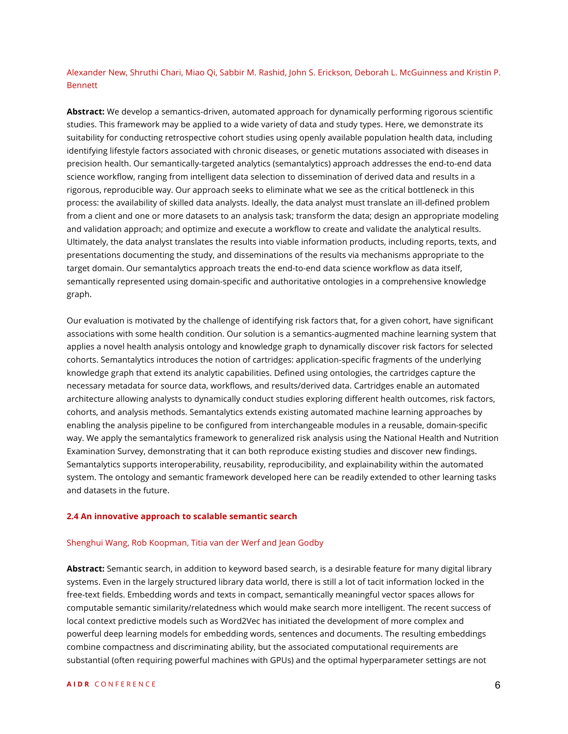Alexander New, Shruthi Chari, Miao Qi, Sabbir M. Rashid, John S. Erickson, Deborah L. McGuinness and Kristin P. Bennett

**Abstract:** We develop a semantics-driven, automated approach for dynamically performing rigorous scientific studies. This framework may be applied to a wide variety of data and study types. Here, we demonstrate its suitability for conducting retrospective cohort studies using openly available population health data, including identifying lifestyle factors associated with chronic diseases, or genetic mutations associated with diseases in precision health. Our semantically-targeted analytics (semantalytics) approach addresses the end-to-end data science workflow, ranging from intelligent data selection to dissemination of derived data and results in a rigorous, reproducible way. Our approach seeks to eliminate what we see as the critical bottleneck in this process: the availability of skilled data analysts. Ideally, the data analyst must translate an ill-defined problem from a client and one or more datasets to an analysis task; transform the data; design an appropriate modeling and validation approach; and optimize and execute a workflow to create and validate the analytical results. Ultimately, the data analyst translates the results into viable information products, including reports, texts, and presentations documenting the study, and disseminations of the results via mechanisms appropriate to the target domain. Our semantalytics approach treats the end-to-end data science workflow as data itself, semantically represented using domain-specific and authoritative ontologies in a comprehensive knowledge graph.

Our evaluation is motivated by the challenge of identifying risk factors that, for a given cohort, have significant associations with some health condition. Our solution is a semantics-augmented machine learning system that applies a novel health analysis ontology and knowledge graph to dynamically discover risk factors for selected cohorts. Semantalytics introduces the notion of cartridges: application-specific fragments of the underlying knowledge graph that extend its analytic capabilities. Defined using ontologies, the cartridges capture the necessary metadata for source data, workflows, and results/derived data. Cartridges enable an automated architecture allowing analysts to dynamically conduct studies exploring different health outcomes, risk factors, cohorts, and analysis methods. Semantalytics extends existing automated machine learning approaches by enabling the analysis pipeline to be configured from interchangeable modules in a reusable, domain-specific way. We apply the semantalytics framework to generalized risk analysis using the National Health and Nutrition Examination Survey, demonstrating that it can both reproduce existing studies and discover new findings. Semantalytics supports interoperability, reusability, reproducibility, and explainability within the automated system. The ontology and semantic framework developed here can be readily extended to other learning tasks and datasets in the future.

### **2.4 An innovative approach to scalable semantic search**

### Shenghui Wang, Rob Koopman, Titia van der Werf and Jean Godby

**Abstract:** Semantic search, in addition to keyword based search, is a desirable feature for many digital library systems. Even in the largely structured library data world, there is still a lot of tacit information locked in the free-text fields. Embedding words and texts in compact, semantically meaningful vector spaces allows for computable semantic similarity/relatedness which would make search more intelligent. The recent success of local context predictive models such as Word2Vec has initiated the development of more complex and powerful deep learning models for embedding words, sentences and documents. The resulting embeddings combine compactness and discriminating ability, but the associated computational requirements are substantial (often requiring powerful machines with GPUs) and the optimal hyperparameter settings are not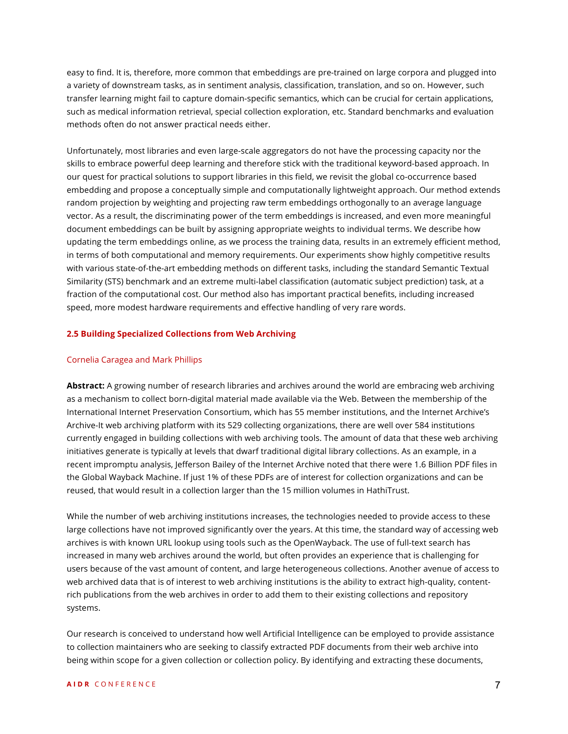easy to find. It is, therefore, more common that embeddings are pre-trained on large corpora and plugged into a variety of downstream tasks, as in sentiment analysis, classification, translation, and so on. However, such transfer learning might fail to capture domain-specific semantics, which can be crucial for certain applications, such as medical information retrieval, special collection exploration, etc. Standard benchmarks and evaluation methods often do not answer practical needs either.

Unfortunately, most libraries and even large-scale aggregators do not have the processing capacity nor the skills to embrace powerful deep learning and therefore stick with the traditional keyword-based approach. In our quest for practical solutions to support libraries in this field, we revisit the global co-occurrence based embedding and propose a conceptually simple and computationally lightweight approach. Our method extends random projection by weighting and projecting raw term embeddings orthogonally to an average language vector. As a result, the discriminating power of the term embeddings is increased, and even more meaningful document embeddings can be built by assigning appropriate weights to individual terms. We describe how updating the term embeddings online, as we process the training data, results in an extremely efficient method, in terms of both computational and memory requirements. Our experiments show highly competitive results with various state-of-the-art embedding methods on different tasks, including the standard Semantic Textual Similarity (STS) benchmark and an extreme multi-label classification (automatic subject prediction) task, at a fraction of the computational cost. Our method also has important practical benefits, including increased speed, more modest hardware requirements and effective handling of very rare words.

### **2.5 Building Specialized Collections from Web Archiving**

### Cornelia Caragea and Mark Phillips

**Abstract:** A growing number of research libraries and archives around the world are embracing web archiving as a mechanism to collect born-digital material made available via the Web. Between the membership of the International Internet Preservation Consortium, which has 55 member institutions, and the Internet Archive's Archive-It web archiving platform with its 529 collecting organizations, there are well over 584 institutions currently engaged in building collections with web archiving tools. The amount of data that these web archiving initiatives generate is typically at levels that dwarf traditional digital library collections. As an example, in a recent impromptu analysis, Jefferson Bailey of the Internet Archive noted that there were 1.6 Billion PDF files in the Global Wayback Machine. If just 1% of these PDFs are of interest for collection organizations and can be reused, that would result in a collection larger than the 15 million volumes in HathiTrust.

While the number of web archiving institutions increases, the technologies needed to provide access to these large collections have not improved significantly over the years. At this time, the standard way of accessing web archives is with known URL lookup using tools such as the OpenWayback. The use of full-text search has increased in many web archives around the world, but often provides an experience that is challenging for users because of the vast amount of content, and large heterogeneous collections. Another avenue of access to web archived data that is of interest to web archiving institutions is the ability to extract high-quality, contentrich publications from the web archives in order to add them to their existing collections and repository systems.

Our research is conceived to understand how well Artificial Intelligence can be employed to provide assistance to collection maintainers who are seeking to classify extracted PDF documents from their web archive into being within scope for a given collection or collection policy. By identifying and extracting these documents,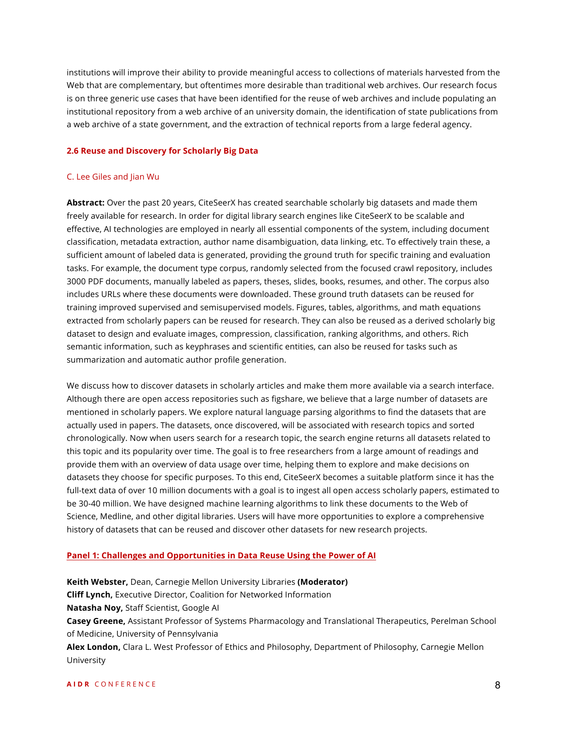institutions will improve their ability to provide meaningful access to collections of materials harvested from the Web that are complementary, but oftentimes more desirable than traditional web archives. Our research focus is on three generic use cases that have been identified for the reuse of web archives and include populating an institutional repository from a web archive of an university domain, the identification of state publications from a web archive of a state government, and the extraction of technical reports from a large federal agency.

### **2.6 Reuse and Discovery for Scholarly Big Data**

### C. Lee Giles and Jian Wu

**Abstract:** Over the past 20 years, CiteSeerX has created searchable scholarly big datasets and made them freely available for research. In order for digital library search engines like CiteSeerX to be scalable and effective, AI technologies are employed in nearly all essential components of the system, including document classification, metadata extraction, author name disambiguation, data linking, etc. To effectively train these, a sufficient amount of labeled data is generated, providing the ground truth for specific training and evaluation tasks. For example, the document type corpus, randomly selected from the focused crawl repository, includes 3000 PDF documents, manually labeled as papers, theses, slides, books, resumes, and other. The corpus also includes URLs where these documents were downloaded. These ground truth datasets can be reused for training improved supervised and semisupervised models. Figures, tables, algorithms, and math equations extracted from scholarly papers can be reused for research. They can also be reused as a derived scholarly big dataset to design and evaluate images, compression, classification, ranking algorithms, and others. Rich semantic information, such as keyphrases and scientific entities, can also be reused for tasks such as summarization and automatic author profile generation.

We discuss how to discover datasets in scholarly articles and make them more available via a search interface. Although there are open access repositories such as figshare, we believe that a large number of datasets are mentioned in scholarly papers. We explore natural language parsing algorithms to find the datasets that are actually used in papers. The datasets, once discovered, will be associated with research topics and sorted chronologically. Now when users search for a research topic, the search engine returns all datasets related to this topic and its popularity over time. The goal is to free researchers from a large amount of readings and provide them with an overview of data usage over time, helping them to explore and make decisions on datasets they choose for specific purposes. To this end, CiteSeerX becomes a suitable platform since it has the full-text data of over 10 million documents with a goal is to ingest all open access scholarly papers, estimated to be 30-40 million. We have designed machine learning algorithms to link these documents to the Web of Science, Medline, and other digital libraries. Users will have more opportunities to explore a comprehensive history of datasets that can be reused and discover other datasets for new research projects.

### **Panel 1: Challenges and Opportunities in Data Reuse Using the Power of AI**

**Keith Webster,** Dean, Carnegie Mellon University Libraries **(Moderator) Cliff Lynch,** Executive Director, Coalition for Networked Information **Natasha Noy,** Staff Scientist, Google AI **Casey Greene,** Assistant Professor of Systems Pharmacology and Translational Therapeutics, Perelman School of Medicine, University of Pennsylvania **Alex London,** Clara L. West Professor of Ethics and Philosophy, Department of Philosophy, Carnegie Mellon University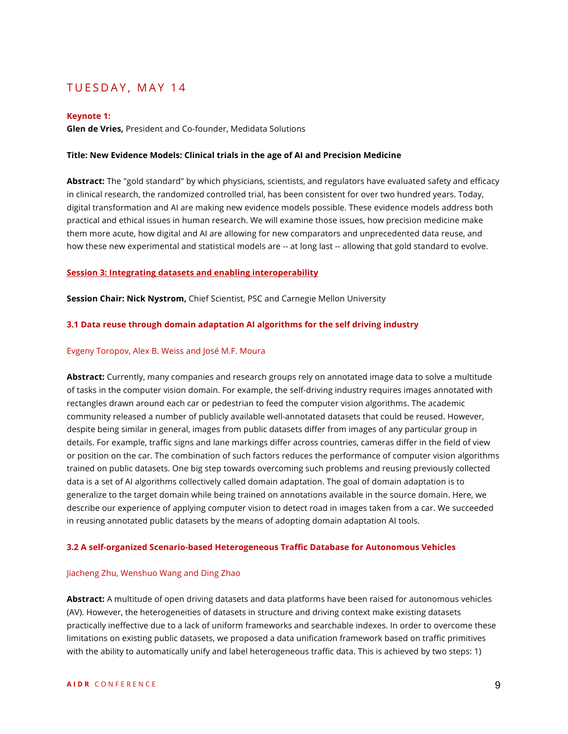# TUES DAY, MAY 1 4

### **Keynote 1:**

**Glen de Vries,** President and Co-founder, Medidata Solutions

### **Title: New Evidence Models: Clinical trials in the age of AI and Precision Medicine**

**Abstract:** The "gold standard" by which physicians, scientists, and regulators have evaluated safety and efficacy in clinical research, the randomized controlled trial, has been consistent for over two hundred years. Today, digital transformation and AI are making new evidence models possible. These evidence models address both practical and ethical issues in human research. We will examine those issues, how precision medicine make them more acute, how digital and AI are allowing for new comparators and unprecedented data reuse, and how these new experimental and statistical models are -- at long last -- allowing that gold standard to evolve.

### **Session 3: Integrating datasets and enabling interoperability**

**Session Chair: Nick Nystrom,** Chief Scientist, PSC and Carnegie Mellon University

### **3.1 Data reuse through domain adaptation AI algorithms for the self driving industry**

### Evgeny Toropov, Alex B. Weiss and José M.F. Moura

**Abstract:** Currently, many companies and research groups rely on annotated image data to solve a multitude of tasks in the computer vision domain. For example, the self-driving industry requires images annotated with rectangles drawn around each car or pedestrian to feed the computer vision algorithms. The academic community released a number of publicly available well-annotated datasets that could be reused. However, despite being similar in general, images from public datasets differ from images of any particular group in details. For example, traffic signs and lane markings differ across countries, cameras differ in the field of view or position on the car. The combination of such factors reduces the performance of computer vision algorithms trained on public datasets. One big step towards overcoming such problems and reusing previously collected data is a set of AI algorithms collectively called domain adaptation. The goal of domain adaptation is to generalize to the target domain while being trained on annotations available in the source domain. Here, we describe our experience of applying computer vision to detect road in images taken from a car. We succeeded in reusing annotated public datasets by the means of adopting domain adaptation AI tools.

### **3.2 A self-organized Scenario-based Heterogeneous Traffic Database for Autonomous Vehicles**

### Jiacheng Zhu, Wenshuo Wang and Ding Zhao

**Abstract:** A multitude of open driving datasets and data platforms have been raised for autonomous vehicles (AV). However, the heterogeneities of datasets in structure and driving context make existing datasets practically ineffective due to a lack of uniform frameworks and searchable indexes. In order to overcome these limitations on existing public datasets, we proposed a data unification framework based on traffic primitives with the ability to automatically unify and label heterogeneous traffic data. This is achieved by two steps: 1)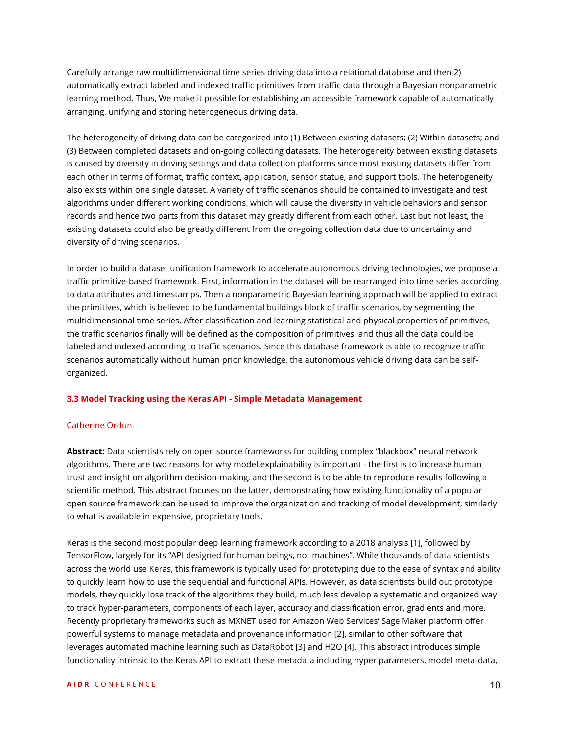Carefully arrange raw multidimensional time series driving data into a relational database and then 2) automatically extract labeled and indexed traffic primitives from traffic data through a Bayesian nonparametric learning method. Thus, We make it possible for establishing an accessible framework capable of automatically arranging, unifying and storing heterogeneous driving data.

The heterogeneity of driving data can be categorized into (1) Between existing datasets; (2) Within datasets; and (3) Between completed datasets and on-going collecting datasets. The heterogeneity between existing datasets is caused by diversity in driving settings and data collection platforms since most existing datasets differ from each other in terms of format, traffic context, application, sensor statue, and support tools. The heterogeneity also exists within one single dataset. A variety of traffic scenarios should be contained to investigate and test algorithms under different working conditions, which will cause the diversity in vehicle behaviors and sensor records and hence two parts from this dataset may greatly different from each other. Last but not least, the existing datasets could also be greatly different from the on-going collection data due to uncertainty and diversity of driving scenarios.

In order to build a dataset unification framework to accelerate autonomous driving technologies, we propose a traffic primitive-based framework. First, information in the dataset will be rearranged into time series according to data attributes and timestamps. Then a nonparametric Bayesian learning approach will be applied to extract the primitives, which is believed to be fundamental buildings block of traffic scenarios, by segmenting the multidimensional time series. After classification and learning statistical and physical properties of primitives, the traffic scenarios finally will be defined as the composition of primitives, and thus all the data could be labeled and indexed according to traffic scenarios. Since this database framework is able to recognize traffic scenarios automatically without human prior knowledge, the autonomous vehicle driving data can be selforganized.

### **3.3 Model Tracking using the Keras API - Simple Metadata Management**

### Catherine Ordun

**Abstract:** Data scientists rely on open source frameworks for building complex "blackbox" neural network algorithms. There are two reasons for why model explainability is important - the first is to increase human trust and insight on algorithm decision-making, and the second is to be able to reproduce results following a scientific method. This abstract focuses on the latter, demonstrating how existing functionality of a popular open source framework can be used to improve the organization and tracking of model development, similarly to what is available in expensive, proprietary tools.

Keras is the second most popular deep learning framework according to a 2018 analysis [1], followed by TensorFlow, largely for its "API designed for human beings, not machines". While thousands of data scientists across the world use Keras, this framework is typically used for prototyping due to the ease of syntax and ability to quickly learn how to use the sequential and functional APIs. However, as data scientists build out prototype models, they quickly lose track of the algorithms they build, much less develop a systematic and organized way to track hyper-parameters, components of each layer, accuracy and classification error, gradients and more. Recently proprietary frameworks such as MXNET used for Amazon Web Services' Sage Maker platform offer powerful systems to manage metadata and provenance information [2], similar to other software that leverages automated machine learning such as DataRobot [3] and H2O [4]. This abstract introduces simple functionality intrinsic to the Keras API to extract these metadata including hyper parameters, model meta-data,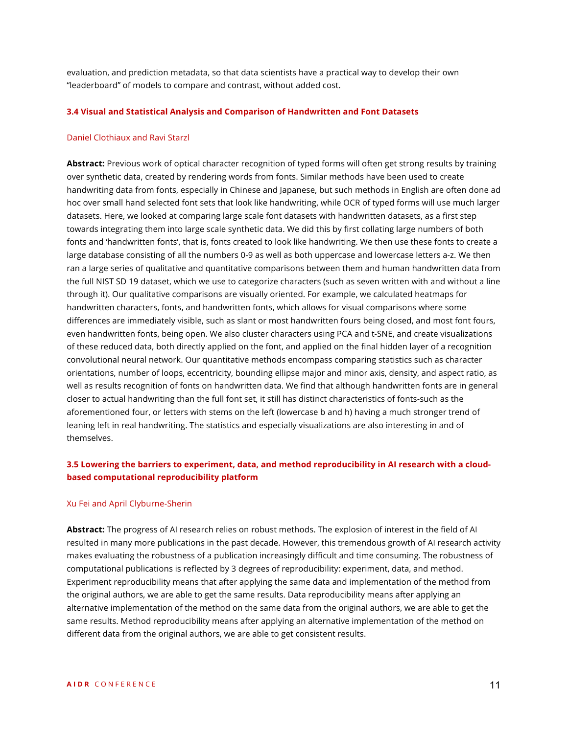evaluation, and prediction metadata, so that data scientists have a practical way to develop their own "leaderboard" of models to compare and contrast, without added cost.

### **3.4 Visual and Statistical Analysis and Comparison of Handwritten and Font Datasets**

### Daniel Clothiaux and Ravi Starzl

**Abstract:** Previous work of optical character recognition of typed forms will often get strong results by training over synthetic data, created by rendering words from fonts. Similar methods have been used to create handwriting data from fonts, especially in Chinese and Japanese, but such methods in English are often done ad hoc over small hand selected font sets that look like handwriting, while OCR of typed forms will use much larger datasets. Here, we looked at comparing large scale font datasets with handwritten datasets, as a first step towards integrating them into large scale synthetic data. We did this by first collating large numbers of both fonts and 'handwritten fonts', that is, fonts created to look like handwriting. We then use these fonts to create a large database consisting of all the numbers 0-9 as well as both uppercase and lowercase letters a-z. We then ran a large series of qualitative and quantitative comparisons between them and human handwritten data from the full NIST SD 19 dataset, which we use to categorize characters (such as seven written with and without a line through it). Our qualitative comparisons are visually oriented. For example, we calculated heatmaps for handwritten characters, fonts, and handwritten fonts, which allows for visual comparisons where some differences are immediately visible, such as slant or most handwritten fours being closed, and most font fours, even handwritten fonts, being open. We also cluster characters using PCA and t-SNE, and create visualizations of these reduced data, both directly applied on the font, and applied on the final hidden layer of a recognition convolutional neural network. Our quantitative methods encompass comparing statistics such as character orientations, number of loops, eccentricity, bounding ellipse major and minor axis, density, and aspect ratio, as well as results recognition of fonts on handwritten data. We find that although handwritten fonts are in general closer to actual handwriting than the full font set, it still has distinct characteristics of fonts-such as the aforementioned four, or letters with stems on the left (lowercase b and h) having a much stronger trend of leaning left in real handwriting. The statistics and especially visualizations are also interesting in and of themselves.

# **3.5 Lowering the barriers to experiment, data, and method reproducibility in AI research with a cloudbased computational reproducibility platform**

### Xu Fei and April Clyburne-Sherin

**Abstract:** The progress of AI research relies on robust methods. The explosion of interest in the field of AI resulted in many more publications in the past decade. However, this tremendous growth of AI research activity makes evaluating the robustness of a publication increasingly difficult and time consuming. The robustness of computational publications is reflected by 3 degrees of reproducibility: experiment, data, and method. Experiment reproducibility means that after applying the same data and implementation of the method from the original authors, we are able to get the same results. Data reproducibility means after applying an alternative implementation of the method on the same data from the original authors, we are able to get the same results. Method reproducibility means after applying an alternative implementation of the method on different data from the original authors, we are able to get consistent results.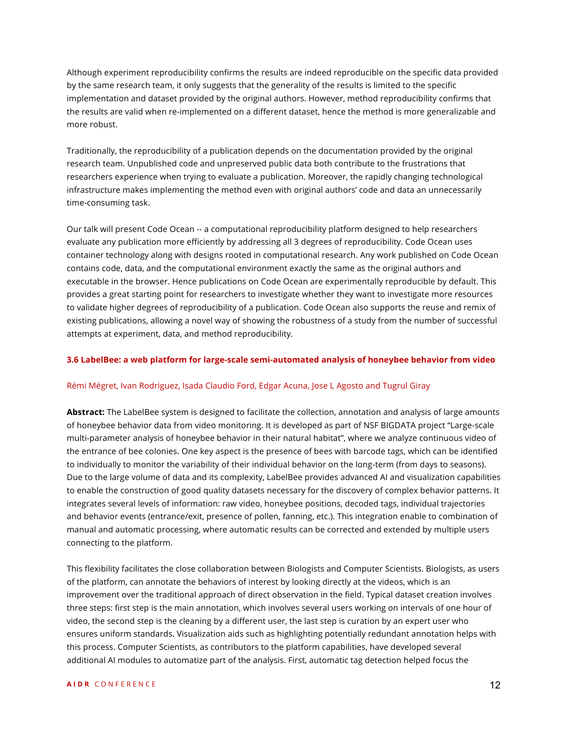Although experiment reproducibility confirms the results are indeed reproducible on the specific data provided by the same research team, it only suggests that the generality of the results is limited to the specific implementation and dataset provided by the original authors. However, method reproducibility confirms that the results are valid when re-implemented on a different dataset, hence the method is more generalizable and more robust.

Traditionally, the reproducibility of a publication depends on the documentation provided by the original research team. Unpublished code and unpreserved public data both contribute to the frustrations that researchers experience when trying to evaluate a publication. Moreover, the rapidly changing technological infrastructure makes implementing the method even with original authors' code and data an unnecessarily time-consuming task.

Our talk will present Code Ocean -- a computational reproducibility platform designed to help researchers evaluate any publication more efficiently by addressing all 3 degrees of reproducibility. Code Ocean uses container technology along with designs rooted in computational research. Any work published on Code Ocean contains code, data, and the computational environment exactly the same as the original authors and executable in the browser. Hence publications on Code Ocean are experimentally reproducible by default. This provides a great starting point for researchers to investigate whether they want to investigate more resources to validate higher degrees of reproducibility of a publication. Code Ocean also supports the reuse and remix of existing publications, allowing a novel way of showing the robustness of a study from the number of successful attempts at experiment, data, and method reproducibility.

### **3.6 LabelBee: a web platform for large-scale semi-automated analysis of honeybee behavior from video**

### Rémi Mégret, Ivan Rodriguez, Isada Claudio Ford, Edgar Acuna, Jose L Agosto and Tugrul Giray

**Abstract:** The LabelBee system is designed to facilitate the collection, annotation and analysis of large amounts of honeybee behavior data from video monitoring. It is developed as part of NSF BIGDATA project "Large-scale multi-parameter analysis of honeybee behavior in their natural habitat", where we analyze continuous video of the entrance of bee colonies. One key aspect is the presence of bees with barcode tags, which can be identified to individually to monitor the variability of their individual behavior on the long-term (from days to seasons). Due to the large volume of data and its complexity, LabelBee provides advanced AI and visualization capabilities to enable the construction of good quality datasets necessary for the discovery of complex behavior patterns. It integrates several levels of information: raw video, honeybee positions, decoded tags, individual trajectories and behavior events (entrance/exit, presence of pollen, fanning, etc.). This integration enable to combination of manual and automatic processing, where automatic results can be corrected and extended by multiple users connecting to the platform.

This flexibility facilitates the close collaboration between Biologists and Computer Scientists. Biologists, as users of the platform, can annotate the behaviors of interest by looking directly at the videos, which is an improvement over the traditional approach of direct observation in the field. Typical dataset creation involves three steps: first step is the main annotation, which involves several users working on intervals of one hour of video, the second step is the cleaning by a different user, the last step is curation by an expert user who ensures uniform standards. Visualization aids such as highlighting potentially redundant annotation helps with this process. Computer Scientists, as contributors to the platform capabilities, have developed several additional AI modules to automatize part of the analysis. First, automatic tag detection helped focus the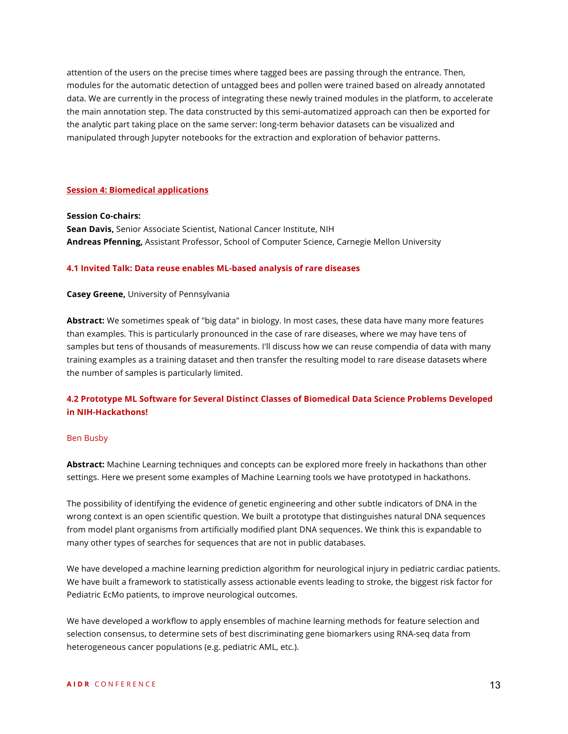attention of the users on the precise times where tagged bees are passing through the entrance. Then, modules for the automatic detection of untagged bees and pollen were trained based on already annotated data. We are currently in the process of integrating these newly trained modules in the platform, to accelerate the main annotation step. The data constructed by this semi-automatized approach can then be exported for the analytic part taking place on the same server: long-term behavior datasets can be visualized and manipulated through Jupyter notebooks for the extraction and exploration of behavior patterns.

### **Session 4: Biomedical applications**

**Session Co-chairs: Sean Davis,** Senior Associate Scientist, National Cancer Institute, NIH **Andreas Pfenning,** Assistant Professor, School of Computer Science, Carnegie Mellon University

### **4.1 Invited Talk: Data reuse enables ML-based analysis of rare diseases**

### **Casey Greene,** University of Pennsylvania

**Abstract:** We sometimes speak of "big data" in biology. In most cases, these data have many more features than examples. This is particularly pronounced in the case of rare diseases, where we may have tens of samples but tens of thousands of measurements. I'll discuss how we can reuse compendia of data with many training examples as a training dataset and then transfer the resulting model to rare disease datasets where the number of samples is particularly limited.

# **4.2 Prototype ML Software for Several Distinct Classes of Biomedical Data Science Problems Developed in NIH-Hackathons!**

### Ben Busby

**Abstract:** Machine Learning techniques and concepts can be explored more freely in hackathons than other settings. Here we present some examples of Machine Learning tools we have prototyped in hackathons.

The possibility of identifying the evidence of genetic engineering and other subtle indicators of DNA in the wrong context is an open scientific question. We built a prototype that distinguishes natural DNA sequences from model plant organisms from artificially modified plant DNA sequences. We think this is expandable to many other types of searches for sequences that are not in public databases.

We have developed a machine learning prediction algorithm for neurological injury in pediatric cardiac patients. We have built a framework to statistically assess actionable events leading to stroke, the biggest risk factor for Pediatric EcMo patients, to improve neurological outcomes.

We have developed a workflow to apply ensembles of machine learning methods for feature selection and selection consensus, to determine sets of best discriminating gene biomarkers using RNA-seq data from heterogeneous cancer populations (e.g. pediatric AML, etc.).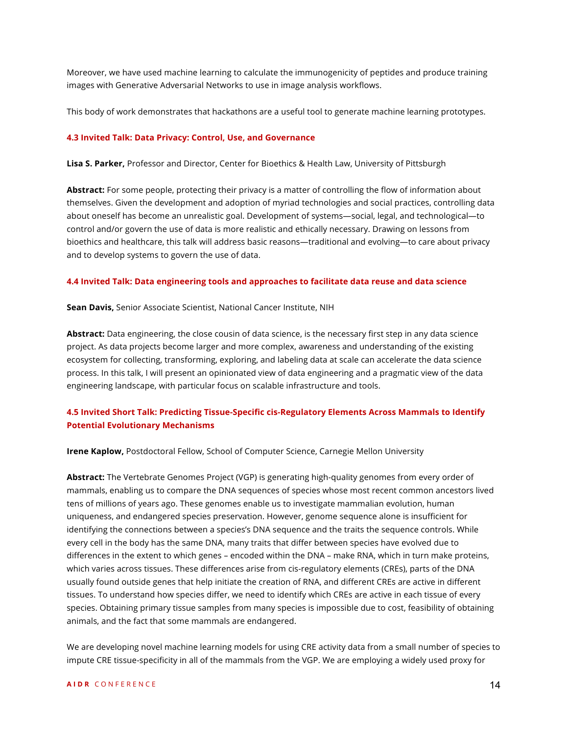Moreover, we have used machine learning to calculate the immunogenicity of peptides and produce training images with Generative Adversarial Networks to use in image analysis workflows.

This body of work demonstrates that hackathons are a useful tool to generate machine learning prototypes.

### **4.3 Invited Talk: Data Privacy: Control, Use, and Governance**

**Lisa S. Parker,** Professor and Director, Center for Bioethics & Health Law, University of Pittsburgh

**Abstract:** For some people, protecting their privacy is a matter of controlling the flow of information about themselves. Given the development and adoption of myriad technologies and social practices, controlling data about oneself has become an unrealistic goal. Development of systems—social, legal, and technological—to control and/or govern the use of data is more realistic and ethically necessary. Drawing on lessons from bioethics and healthcare, this talk will address basic reasons—traditional and evolving—to care about privacy and to develop systems to govern the use of data.

### **4.4 Invited Talk: Data engineering tools and approaches to facilitate data reuse and data science**

**Sean Davis,** Senior Associate Scientist, National Cancer Institute, NIH

**Abstract:** Data engineering, the close cousin of data science, is the necessary first step in any data science project. As data projects become larger and more complex, awareness and understanding of the existing ecosystem for collecting, transforming, exploring, and labeling data at scale can accelerate the data science process. In this talk, I will present an opinionated view of data engineering and a pragmatic view of the data engineering landscape, with particular focus on scalable infrastructure and tools.

# **4.5 Invited Short Talk: Predicting Tissue-Specific cis-Regulatory Elements Across Mammals to Identify Potential Evolutionary Mechanisms**

**Irene Kaplow,** Postdoctoral Fellow, School of Computer Science, Carnegie Mellon University

**Abstract:** The Vertebrate Genomes Project (VGP) is generating high-quality genomes from every order of mammals, enabling us to compare the DNA sequences of species whose most recent common ancestors lived tens of millions of years ago. These genomes enable us to investigate mammalian evolution, human uniqueness, and endangered species preservation. However, genome sequence alone is insufficient for identifying the connections between a species's DNA sequence and the traits the sequence controls. While every cell in the body has the same DNA, many traits that differ between species have evolved due to differences in the extent to which genes – encoded within the DNA – make RNA, which in turn make proteins, which varies across tissues. These differences arise from cis-regulatory elements (CREs), parts of the DNA usually found outside genes that help initiate the creation of RNA, and different CREs are active in different tissues. To understand how species differ, we need to identify which CREs are active in each tissue of every species. Obtaining primary tissue samples from many species is impossible due to cost, feasibility of obtaining animals, and the fact that some mammals are endangered.

We are developing novel machine learning models for using CRE activity data from a small number of species to impute CRE tissue-specificity in all of the mammals from the VGP. We are employing a widely used proxy for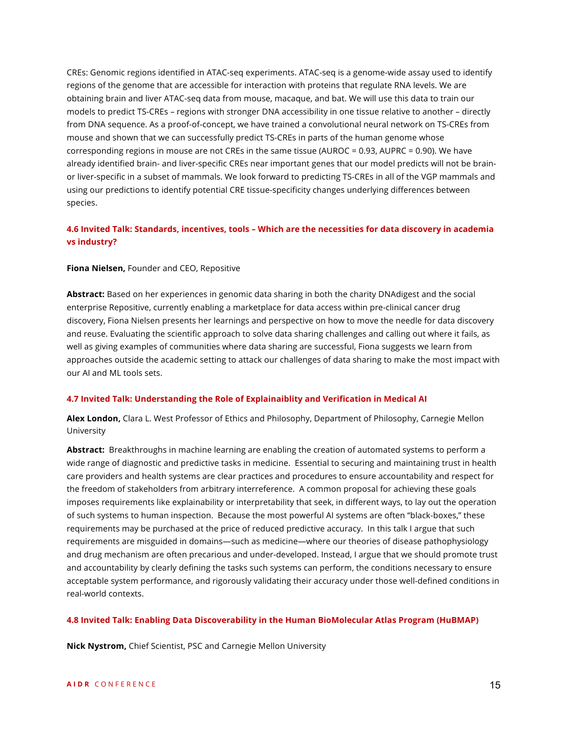CREs: Genomic regions identified in ATAC-seq experiments. ATAC-seq is a genome-wide assay used to identify regions of the genome that are accessible for interaction with proteins that regulate RNA levels. We are obtaining brain and liver ATAC-seq data from mouse, macaque, and bat. We will use this data to train our models to predict TS-CREs – regions with stronger DNA accessibility in one tissue relative to another – directly from DNA sequence. As a proof-of-concept, we have trained a convolutional neural network on TS-CREs from mouse and shown that we can successfully predict TS-CREs in parts of the human genome whose corresponding regions in mouse are not CREs in the same tissue (AUROC = 0.93, AUPRC = 0.90). We have already identified brain- and liver-specific CREs near important genes that our model predicts will not be brainor liver-specific in a subset of mammals. We look forward to predicting TS-CREs in all of the VGP mammals and using our predictions to identify potential CRE tissue-specificity changes underlying differences between species.

# **4.6 Invited Talk: Standards, incentives, tools – Which are the necessities for data discovery in academia vs industry?**

### **Fiona Nielsen,** Founder and CEO, Repositive

**Abstract:** Based on her experiences in genomic data sharing in both the charity DNAdigest and the social enterprise Repositive, currently enabling a marketplace for data access within pre-clinical cancer drug discovery, Fiona Nielsen presents her learnings and perspective on how to move the needle for data discovery and reuse. Evaluating the scientific approach to solve data sharing challenges and calling out where it fails, as well as giving examples of communities where data sharing are successful, Fiona suggests we learn from approaches outside the academic setting to attack our challenges of data sharing to make the most impact with our AI and ML tools sets.

### **4.7 Invited Talk: Understanding the Role of Explainaiblity and Verification in Medical AI**

**Alex London,** Clara L. West Professor of Ethics and Philosophy, Department of Philosophy, Carnegie Mellon University

**Abstract:** Breakthroughs in machine learning are enabling the creation of automated systems to perform a wide range of diagnostic and predictive tasks in medicine. Essential to securing and maintaining trust in health care providers and health systems are clear practices and procedures to ensure accountability and respect for the freedom of stakeholders from arbitrary interreference. A common proposal for achieving these goals imposes requirements like explainability or interpretability that seek, in different ways, to lay out the operation of such systems to human inspection. Because the most powerful AI systems are often "black-boxes," these requirements may be purchased at the price of reduced predictive accuracy. In this talk I argue that such requirements are misguided in domains—such as medicine—where our theories of disease pathophysiology and drug mechanism are often precarious and under-developed. Instead, I argue that we should promote trust and accountability by clearly defining the tasks such systems can perform, the conditions necessary to ensure acceptable system performance, and rigorously validating their accuracy under those well-defined conditions in real-world contexts.

### **4.8 Invited Talk: Enabling Data Discoverability in the Human BioMolecular Atlas Program (HuBMAP)**

**Nick Nystrom,** Chief Scientist, PSC and Carnegie Mellon University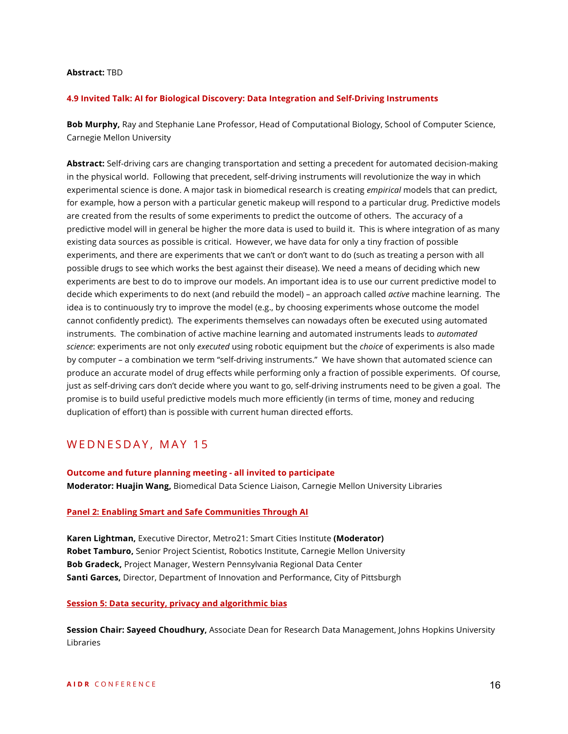### **Abstract:** TBD

### **4.9 Invited Talk: AI for Biological Discovery: Data Integration and Self-Driving Instruments**

**Bob Murphy,** Ray and Stephanie Lane Professor, Head of Computational Biology, School of Computer Science, Carnegie Mellon University

**Abstract:** Self-driving cars are changing transportation and setting a precedent for automated decision-making in the physical world. Following that precedent, self-driving instruments will revolutionize the way in which experimental science is done. A major task in biomedical research is creating *empirical* models that can predict, for example, how a person with a particular genetic makeup will respond to a particular drug. Predictive models are created from the results of some experiments to predict the outcome of others. The accuracy of a predictive model will in general be higher the more data is used to build it. This is where integration of as many existing data sources as possible is critical. However, we have data for only a tiny fraction of possible experiments, and there are experiments that we can't or don't want to do (such as treating a person with all possible drugs to see which works the best against their disease). We need a means of deciding which new experiments are best to do to improve our models. An important idea is to use our current predictive model to decide which experiments to do next (and rebuild the model) – an approach called *active* machine learning. The idea is to continuously try to improve the model (e.g., by choosing experiments whose outcome the model cannot confidently predict). The experiments themselves can nowadays often be executed using automated instruments. The combination of active machine learning and automated instruments leads to *automated science*: experiments are not only *executed* using robotic equipment but the *choice* of experiments is also made by computer – a combination we term "self-driving instruments." We have shown that automated science can produce an accurate model of drug effects while performing only a fraction of possible experiments. Of course, just as self-driving cars don't decide where you want to go, self-driving instruments need to be given a goal. The promise is to build useful predictive models much more efficiently (in terms of time, money and reducing duplication of effort) than is possible with current human directed efforts.

# WEDNESDAY, MAY 15

**Outcome and future planning meeting - all invited to participate Moderator: Huajin Wang,** Biomedical Data Science Liaison, Carnegie Mellon University Libraries

### **Panel 2: Enabling Smart and Safe Communities Through AI**

**Karen Lightman,** Executive Director, Metro21: Smart Cities Institute **(Moderator) Robet Tamburo,** Senior Project Scientist, Robotics Institute, Carnegie Mellon University **Bob Gradeck,** Project Manager, Western Pennsylvania Regional Data Center **Santi Garces,** Director, Department of Innovation and Performance, City of Pittsburgh

### **Session 5: Data security, privacy and algorithmic bias**

**Session Chair: Sayeed Choudhury,** Associate Dean for Research Data Management, Johns Hopkins University Libraries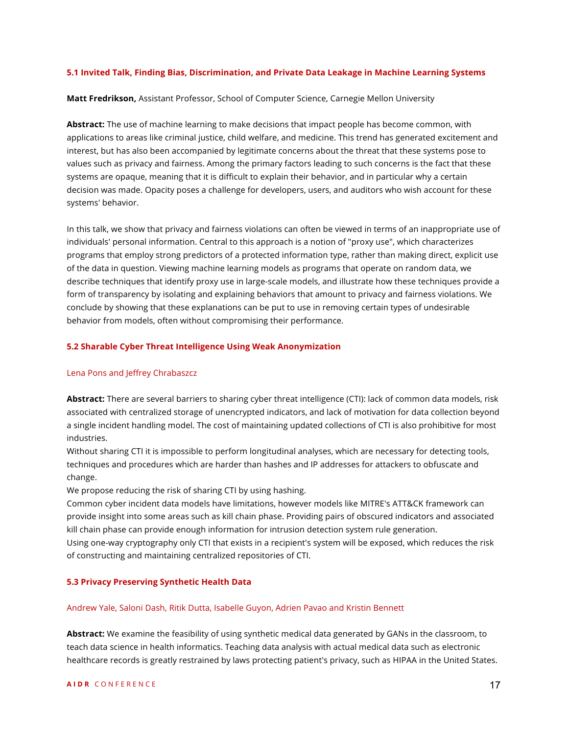### **5.1 Invited Talk, Finding Bias, Discrimination, and Private Data Leakage in Machine Learning Systems**

### **Matt Fredrikson,** Assistant Professor, School of Computer Science, Carnegie Mellon University

**Abstract:** The use of machine learning to make decisions that impact people has become common, with applications to areas like criminal justice, child welfare, and medicine. This trend has generated excitement and interest, but has also been accompanied by legitimate concerns about the threat that these systems pose to values such as privacy and fairness. Among the primary factors leading to such concerns is the fact that these systems are opaque, meaning that it is difficult to explain their behavior, and in particular why a certain decision was made. Opacity poses a challenge for developers, users, and auditors who wish account for these systems' behavior.

In this talk, we show that privacy and fairness violations can often be viewed in terms of an inappropriate use of individuals' personal information. Central to this approach is a notion of "proxy use", which characterizes programs that employ strong predictors of a protected information type, rather than making direct, explicit use of the data in question. Viewing machine learning models as programs that operate on random data, we describe techniques that identify proxy use in large-scale models, and illustrate how these techniques provide a form of transparency by isolating and explaining behaviors that amount to privacy and fairness violations. We conclude by showing that these explanations can be put to use in removing certain types of undesirable behavior from models, often without compromising their performance.

### **5.2 Sharable Cyber Threat Intelligence Using Weak Anonymization**

### Lena Pons and Jeffrey Chrabaszcz

**Abstract:** There are several barriers to sharing cyber threat intelligence (CTI): lack of common data models, risk associated with centralized storage of unencrypted indicators, and lack of motivation for data collection beyond a single incident handling model. The cost of maintaining updated collections of CTI is also prohibitive for most industries.

Without sharing CTI it is impossible to perform longitudinal analyses, which are necessary for detecting tools, techniques and procedures which are harder than hashes and IP addresses for attackers to obfuscate and change.

We propose reducing the risk of sharing CTI by using hashing.

Common cyber incident data models have limitations, however models like MITRE's ATT&CK framework can provide insight into some areas such as kill chain phase. Providing pairs of obscured indicators and associated kill chain phase can provide enough information for intrusion detection system rule generation.

Using one-way cryptography only CTI that exists in a recipient's system will be exposed, which reduces the risk of constructing and maintaining centralized repositories of CTI.

### **5.3 Privacy Preserving Synthetic Health Data**

### Andrew Yale, Saloni Dash, Ritik Dutta, Isabelle Guyon, Adrien Pavao and Kristin Bennett

**Abstract:** We examine the feasibility of using synthetic medical data generated by GANs in the classroom, to teach data science in health informatics. Teaching data analysis with actual medical data such as electronic healthcare records is greatly restrained by laws protecting patient's privacy, such as HIPAA in the United States.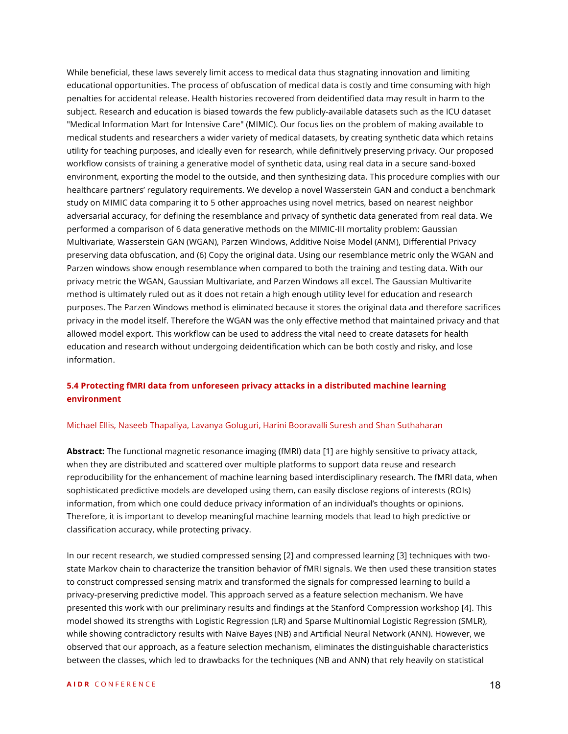While beneficial, these laws severely limit access to medical data thus stagnating innovation and limiting educational opportunities. The process of obfuscation of medical data is costly and time consuming with high penalties for accidental release. Health histories recovered from deidentified data may result in harm to the subject. Research and education is biased towards the few publicly-available datasets such as the ICU dataset "Medical Information Mart for Intensive Care" (MIMIC). Our focus lies on the problem of making available to medical students and researchers a wider variety of medical datasets, by creating synthetic data which retains utility for teaching purposes, and ideally even for research, while definitively preserving privacy. Our proposed workflow consists of training a generative model of synthetic data, using real data in a secure sand-boxed environment, exporting the model to the outside, and then synthesizing data. This procedure complies with our healthcare partners' regulatory requirements. We develop a novel Wasserstein GAN and conduct a benchmark study on MIMIC data comparing it to 5 other approaches using novel metrics, based on nearest neighbor adversarial accuracy, for defining the resemblance and privacy of synthetic data generated from real data. We performed a comparison of 6 data generative methods on the MIMIC-III mortality problem: Gaussian Multivariate, Wasserstein GAN (WGAN), Parzen Windows, Additive Noise Model (ANM), Differential Privacy preserving data obfuscation, and (6) Copy the original data. Using our resemblance metric only the WGAN and Parzen windows show enough resemblance when compared to both the training and testing data. With our privacy metric the WGAN, Gaussian Multivariate, and Parzen Windows all excel. The Gaussian Multivarite method is ultimately ruled out as it does not retain a high enough utility level for education and research purposes. The Parzen Windows method is eliminated because it stores the original data and therefore sacrifices privacy in the model itself. Therefore the WGAN was the only effective method that maintained privacy and that allowed model export. This workflow can be used to address the vital need to create datasets for health education and research without undergoing deidentification which can be both costly and risky, and lose information.

# **5.4 Protecting fMRI data from unforeseen privacy attacks in a distributed machine learning environment**

### Michael Ellis, Naseeb Thapaliya, Lavanya Goluguri, Harini Booravalli Suresh and Shan Suthaharan

**Abstract:** The functional magnetic resonance imaging (fMRI) data [1] are highly sensitive to privacy attack, when they are distributed and scattered over multiple platforms to support data reuse and research reproducibility for the enhancement of machine learning based interdisciplinary research. The fMRI data, when sophisticated predictive models are developed using them, can easily disclose regions of interests (ROIs) information, from which one could deduce privacy information of an individual's thoughts or opinions. Therefore, it is important to develop meaningful machine learning models that lead to high predictive or classification accuracy, while protecting privacy.

In our recent research, we studied compressed sensing [2] and compressed learning [3] techniques with twostate Markov chain to characterize the transition behavior of fMRI signals. We then used these transition states to construct compressed sensing matrix and transformed the signals for compressed learning to build a privacy-preserving predictive model. This approach served as a feature selection mechanism. We have presented this work with our preliminary results and findings at the Stanford Compression workshop [4]. This model showed its strengths with Logistic Regression (LR) and Sparse Multinomial Logistic Regression (SMLR), while showing contradictory results with Naïve Bayes (NB) and Artificial Neural Network (ANN). However, we observed that our approach, as a feature selection mechanism, eliminates the distinguishable characteristics between the classes, which led to drawbacks for the techniques (NB and ANN) that rely heavily on statistical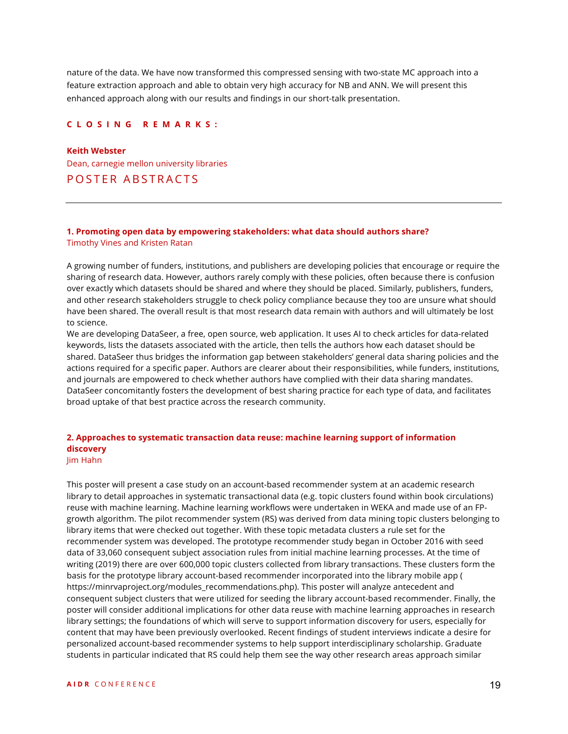nature of the data. We have now transformed this compressed sensing with two-state MC approach into a feature extraction approach and able to obtain very high accuracy for NB and ANN. We will present this enhanced approach along with our results and findings in our short-talk presentation.

### **CLOSING REMARKS:**

**Keith Webster** Dean, carnegie mellon university libraries POSTER ABSTRACTS

### **1. Promoting open data by empowering stakeholders: what data should authors share?** Timothy Vines and Kristen Ratan

A growing number of funders, institutions, and publishers are developing policies that encourage or require the sharing of research data. However, authors rarely comply with these policies, often because there is confusion over exactly which datasets should be shared and where they should be placed. Similarly, publishers, funders, and other research stakeholders struggle to check policy compliance because they too are unsure what should have been shared. The overall result is that most research data remain with authors and will ultimately be lost to science.

We are developing DataSeer, a free, open source, web application. It uses AI to check articles for data-related keywords, lists the datasets associated with the article, then tells the authors how each dataset should be shared. DataSeer thus bridges the information gap between stakeholders' general data sharing policies and the actions required for a specific paper. Authors are clearer about their responsibilities, while funders, institutions, and journals are empowered to check whether authors have complied with their data sharing mandates. DataSeer concomitantly fosters the development of best sharing practice for each type of data, and facilitates broad uptake of that best practice across the research community.

# **2. Approaches to systematic transaction data reuse: machine learning support of information discovery**

### Jim Hahn

This poster will present a case study on an account-based recommender system at an academic research library to detail approaches in systematic transactional data (e.g. topic clusters found within book circulations) reuse with machine learning. Machine learning workflows were undertaken in WEKA and made use of an FPgrowth algorithm. The pilot recommender system (RS) was derived from data mining topic clusters belonging to library items that were checked out together. With these topic metadata clusters a rule set for the recommender system was developed. The prototype recommender study began in October 2016 with seed data of 33,060 consequent subject association rules from initial machine learning processes. At the time of writing (2019) there are over 600,000 topic clusters collected from library transactions. These clusters form the basis for the prototype library account-based recommender incorporated into the library mobile app ( https://minrvaproject.org/modules\_recommendations.php). This poster will analyze antecedent and consequent subject clusters that were utilized for seeding the library account-based recommender. Finally, the poster will consider additional implications for other data reuse with machine learning approaches in research library settings; the foundations of which will serve to support information discovery for users, especially for content that may have been previously overlooked. Recent findings of student interviews indicate a desire for personalized account-based recommender systems to help support interdisciplinary scholarship. Graduate students in particular indicated that RS could help them see the way other research areas approach similar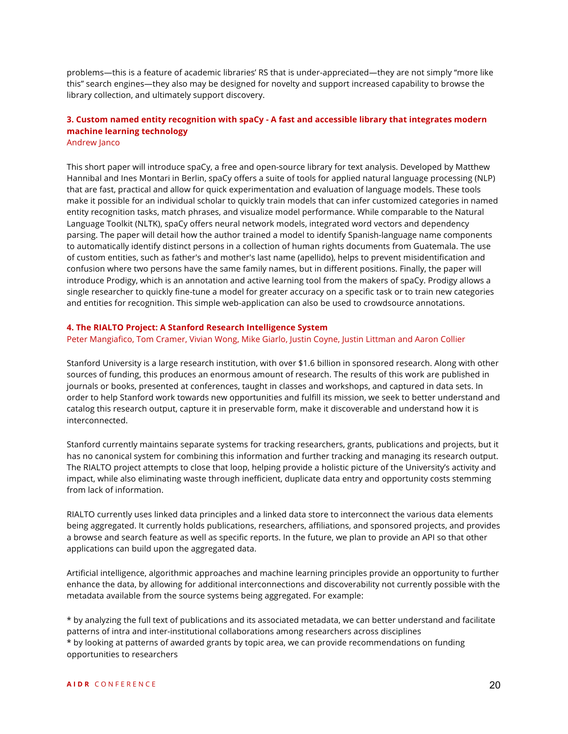problems—this is a feature of academic libraries' RS that is under-appreciated—they are not simply "more like this" search engines—they also may be designed for novelty and support increased capability to browse the library collection, and ultimately support discovery.

# **3. Custom named entity recognition with spaCy - A fast and accessible library that integrates modern machine learning technology**

Andrew Janco

This short paper will introduce spaCy, a free and open-source library for text analysis. Developed by Matthew Hannibal and Ines Montari in Berlin, spaCy offers a suite of tools for applied natural language processing (NLP) that are fast, practical and allow for quick experimentation and evaluation of language models. These tools make it possible for an individual scholar to quickly train models that can infer customized categories in named entity recognition tasks, match phrases, and visualize model performance. While comparable to the Natural Language Toolkit (NLTK), spaCy offers neural network models, integrated word vectors and dependency parsing. The paper will detail how the author trained a model to identify Spanish-language name components to automatically identify distinct persons in a collection of human rights documents from Guatemala. The use of custom entities, such as father's and mother's last name (apellido), helps to prevent misidentification and confusion where two persons have the same family names, but in different positions. Finally, the paper will introduce Prodigy, which is an annotation and active learning tool from the makers of spaCy. Prodigy allows a single researcher to quickly fine-tune a model for greater accuracy on a specific task or to train new categories and entities for recognition. This simple web-application can also be used to crowdsource annotations.

### **4. The RIALTO Project: A Stanford Research Intelligence System**

Peter Mangiafico, Tom Cramer, Vivian Wong, Mike Giarlo, Justin Coyne, Justin Littman and Aaron Collier

Stanford University is a large research institution, with over \$1.6 billion in sponsored research. Along with other sources of funding, this produces an enormous amount of research. The results of this work are published in journals or books, presented at conferences, taught in classes and workshops, and captured in data sets. In order to help Stanford work towards new opportunities and fulfill its mission, we seek to better understand and catalog this research output, capture it in preservable form, make it discoverable and understand how it is interconnected.

Stanford currently maintains separate systems for tracking researchers, grants, publications and projects, but it has no canonical system for combining this information and further tracking and managing its research output. The RIALTO project attempts to close that loop, helping provide a holistic picture of the University's activity and impact, while also eliminating waste through inefficient, duplicate data entry and opportunity costs stemming from lack of information.

RIALTO currently uses linked data principles and a linked data store to interconnect the various data elements being aggregated. It currently holds publications, researchers, affiliations, and sponsored projects, and provides a browse and search feature as well as specific reports. In the future, we plan to provide an API so that other applications can build upon the aggregated data.

Artificial intelligence, algorithmic approaches and machine learning principles provide an opportunity to further enhance the data, by allowing for additional interconnections and discoverability not currently possible with the metadata available from the source systems being aggregated. For example:

\* by analyzing the full text of publications and its associated metadata, we can better understand and facilitate patterns of intra and inter-institutional collaborations among researchers across disciplines \* by looking at patterns of awarded grants by topic area, we can provide recommendations on funding opportunities to researchers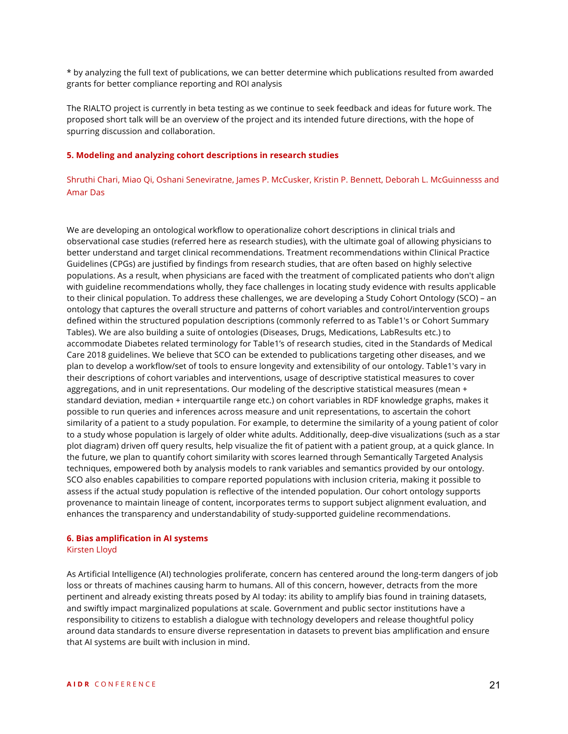\* by analyzing the full text of publications, we can better determine which publications resulted from awarded grants for better compliance reporting and ROI analysis

The RIALTO project is currently in beta testing as we continue to seek feedback and ideas for future work. The proposed short talk will be an overview of the project and its intended future directions, with the hope of spurring discussion and collaboration.

### **5. Modeling and analyzing cohort descriptions in research studies**

Shruthi Chari, Miao Qi, Oshani Seneviratne, James P. McCusker, Kristin P. Bennett, Deborah L. McGuinnesss and Amar Das

We are developing an ontological workflow to operationalize cohort descriptions in clinical trials and observational case studies (referred here as research studies), with the ultimate goal of allowing physicians to better understand and target clinical recommendations. Treatment recommendations within Clinical Practice Guidelines (CPGs) are justified by findings from research studies, that are often based on highly selective populations. As a result, when physicians are faced with the treatment of complicated patients who don't align with guideline recommendations wholly, they face challenges in locating study evidence with results applicable to their clinical population. To address these challenges, we are developing a Study Cohort Ontology (SCO) – an ontology that captures the overall structure and patterns of cohort variables and control/intervention groups defined within the structured population descriptions (commonly referred to as Table1's or Cohort Summary Tables). We are also building a suite of ontologies (Diseases, Drugs, Medications, LabResults etc.) to accommodate Diabetes related terminology for Table1's of research studies, cited in the Standards of Medical Care 2018 guidelines. We believe that SCO can be extended to publications targeting other diseases, and we plan to develop a workflow/set of tools to ensure longevity and extensibility of our ontology. Table1's vary in their descriptions of cohort variables and interventions, usage of descriptive statistical measures to cover aggregations, and in unit representations. Our modeling of the descriptive statistical measures (mean + standard deviation, median + interquartile range etc.) on cohort variables in RDF knowledge graphs, makes it possible to run queries and inferences across measure and unit representations, to ascertain the cohort similarity of a patient to a study population. For example, to determine the similarity of a young patient of color to a study whose population is largely of older white adults. Additionally, deep-dive visualizations (such as a star plot diagram) driven off query results, help visualize the fit of patient with a patient group, at a quick glance. In the future, we plan to quantify cohort similarity with scores learned through Semantically Targeted Analysis techniques, empowered both by analysis models to rank variables and semantics provided by our ontology. SCO also enables capabilities to compare reported populations with inclusion criteria, making it possible to assess if the actual study population is reflective of the intended population. Our cohort ontology supports provenance to maintain lineage of content, incorporates terms to support subject alignment evaluation, and enhances the transparency and understandability of study-supported guideline recommendations.

### **6. Bias amplification in AI systems** Kirsten Lloyd

As Artificial Intelligence (AI) technologies proliferate, concern has centered around the long-term dangers of job loss or threats of machines causing harm to humans. All of this concern, however, detracts from the more pertinent and already existing threats posed by AI today: its ability to amplify bias found in training datasets, and swiftly impact marginalized populations at scale. Government and public sector institutions have a responsibility to citizens to establish a dialogue with technology developers and release thoughtful policy around data standards to ensure diverse representation in datasets to prevent bias amplification and ensure that AI systems are built with inclusion in mind.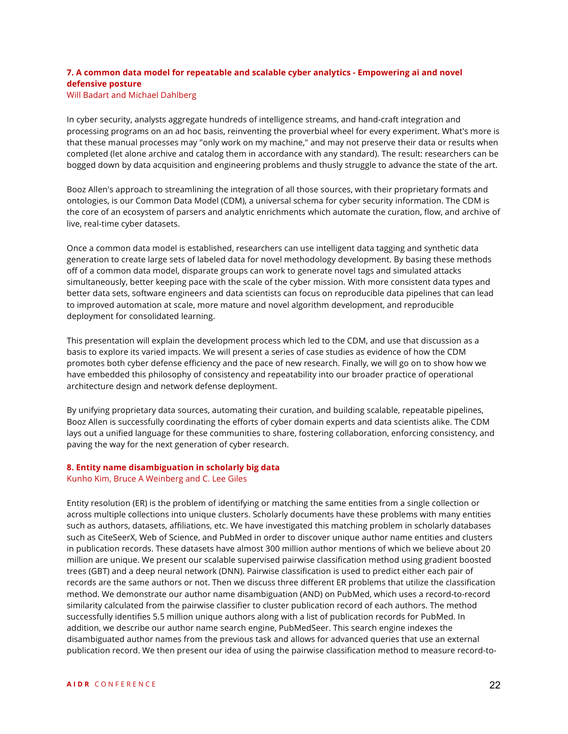# **7. A common data model for repeatable and scalable cyber analytics - Empowering ai and novel defensive posture**

Will Badart and Michael Dahlberg

In cyber security, analysts aggregate hundreds of intelligence streams, and hand-craft integration and processing programs on an ad hoc basis, reinventing the proverbial wheel for every experiment. What's more is that these manual processes may "only work on my machine," and may not preserve their data or results when completed (let alone archive and catalog them in accordance with any standard). The result: researchers can be bogged down by data acquisition and engineering problems and thusly struggle to advance the state of the art.

Booz Allen's approach to streamlining the integration of all those sources, with their proprietary formats and ontologies, is our Common Data Model (CDM), a universal schema for cyber security information. The CDM is the core of an ecosystem of parsers and analytic enrichments which automate the curation, flow, and archive of live, real-time cyber datasets.

Once a common data model is established, researchers can use intelligent data tagging and synthetic data generation to create large sets of labeled data for novel methodology development. By basing these methods off of a common data model, disparate groups can work to generate novel tags and simulated attacks simultaneously, better keeping pace with the scale of the cyber mission. With more consistent data types and better data sets, software engineers and data scientists can focus on reproducible data pipelines that can lead to improved automation at scale, more mature and novel algorithm development, and reproducible deployment for consolidated learning.

This presentation will explain the development process which led to the CDM, and use that discussion as a basis to explore its varied impacts. We will present a series of case studies as evidence of how the CDM promotes both cyber defense efficiency and the pace of new research. Finally, we will go on to show how we have embedded this philosophy of consistency and repeatability into our broader practice of operational architecture design and network defense deployment.

By unifying proprietary data sources, automating their curation, and building scalable, repeatable pipelines, Booz Allen is successfully coordinating the efforts of cyber domain experts and data scientists alike. The CDM lays out a unified language for these communities to share, fostering collaboration, enforcing consistency, and paving the way for the next generation of cyber research.

# **8. Entity name disambiguation in scholarly big data**

## Kunho Kim, Bruce A Weinberg and C. Lee Giles

Entity resolution (ER) is the problem of identifying or matching the same entities from a single collection or across multiple collections into unique clusters. Scholarly documents have these problems with many entities such as authors, datasets, affiliations, etc. We have investigated this matching problem in scholarly databases such as CiteSeerX, Web of Science, and PubMed in order to discover unique author name entities and clusters in publication records. These datasets have almost 300 million author mentions of which we believe about 20 million are unique. We present our scalable supervised pairwise classification method using gradient boosted trees (GBT) and a deep neural network (DNN). Pairwise classification is used to predict either each pair of records are the same authors or not. Then we discuss three different ER problems that utilize the classification method. We demonstrate our author name disambiguation (AND) on PubMed, which uses a record-to-record similarity calculated from the pairwise classifier to cluster publication record of each authors. The method successfully identifies 5.5 million unique authors along with a list of publication records for PubMed. In addition, we describe our author name search engine, PubMedSeer. This search engine indexes the disambiguated author names from the previous task and allows for advanced queries that use an external publication record. We then present our idea of using the pairwise classification method to measure record-to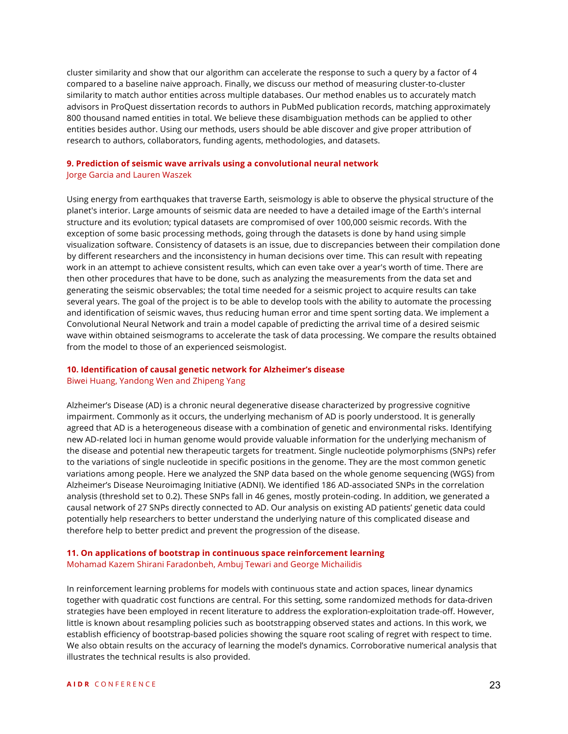cluster similarity and show that our algorithm can accelerate the response to such a query by a factor of 4 compared to a baseline naive approach. Finally, we discuss our method of measuring cluster-to-cluster similarity to match author entities across multiple databases. Our method enables us to accurately match advisors in ProQuest dissertation records to authors in PubMed publication records, matching approximately 800 thousand named entities in total. We believe these disambiguation methods can be applied to other entities besides author. Using our methods, users should be able discover and give proper attribution of research to authors, collaborators, funding agents, methodologies, and datasets.

### **9. Prediction of seismic wave arrivals using a convolutional neural network**  Jorge Garcia and Lauren Waszek

Using energy from earthquakes that traverse Earth, seismology is able to observe the physical structure of the planet's interior. Large amounts of seismic data are needed to have a detailed image of the Earth's internal structure and its evolution; typical datasets are compromised of over 100,000 seismic records. With the exception of some basic processing methods, going through the datasets is done by hand using simple visualization software. Consistency of datasets is an issue, due to discrepancies between their compilation done by different researchers and the inconsistency in human decisions over time. This can result with repeating work in an attempt to achieve consistent results, which can even take over a year's worth of time. There are then other procedures that have to be done, such as analyzing the measurements from the data set and generating the seismic observables; the total time needed for a seismic project to acquire results can take several years. The goal of the project is to be able to develop tools with the ability to automate the processing and identification of seismic waves, thus reducing human error and time spent sorting data. We implement a Convolutional Neural Network and train a model capable of predicting the arrival time of a desired seismic wave within obtained seismograms to accelerate the task of data processing. We compare the results obtained from the model to those of an experienced seismologist.

### **10. Identification of causal genetic network for Alzheimer's disease**

Biwei Huang, Yandong Wen and Zhipeng Yang

Alzheimer's Disease (AD) is a chronic neural degenerative disease characterized by progressive cognitive impairment. Commonly as it occurs, the underlying mechanism of AD is poorly understood. It is generally agreed that AD is a heterogeneous disease with a combination of genetic and environmental risks. Identifying new AD-related loci in human genome would provide valuable information for the underlying mechanism of the disease and potential new therapeutic targets for treatment. Single nucleotide polymorphisms (SNPs) refer to the variations of single nucleotide in specific positions in the genome. They are the most common genetic variations among people. Here we analyzed the SNP data based on the whole genome sequencing (WGS) from Alzheimer's Disease Neuroimaging Initiative (ADNI). We identified 186 AD-associated SNPs in the correlation analysis (threshold set to 0.2). These SNPs fall in 46 genes, mostly protein-coding. In addition, we generated a causal network of 27 SNPs directly connected to AD. Our analysis on existing AD patients' genetic data could potentially help researchers to better understand the underlying nature of this complicated disease and therefore help to better predict and prevent the progression of the disease.

### **11. On applications of bootstrap in continuous space reinforcement learning**

Mohamad Kazem Shirani Faradonbeh, Ambuj Tewari and George Michailidis

In reinforcement learning problems for models with continuous state and action spaces, linear dynamics together with quadratic cost functions are central. For this setting, some randomized methods for data-driven strategies have been employed in recent literature to address the exploration-exploitation trade-off. However, little is known about resampling policies such as bootstrapping observed states and actions. In this work, we establish efficiency of bootstrap-based policies showing the square root scaling of regret with respect to time. We also obtain results on the accuracy of learning the model's dynamics. Corroborative numerical analysis that illustrates the technical results is also provided.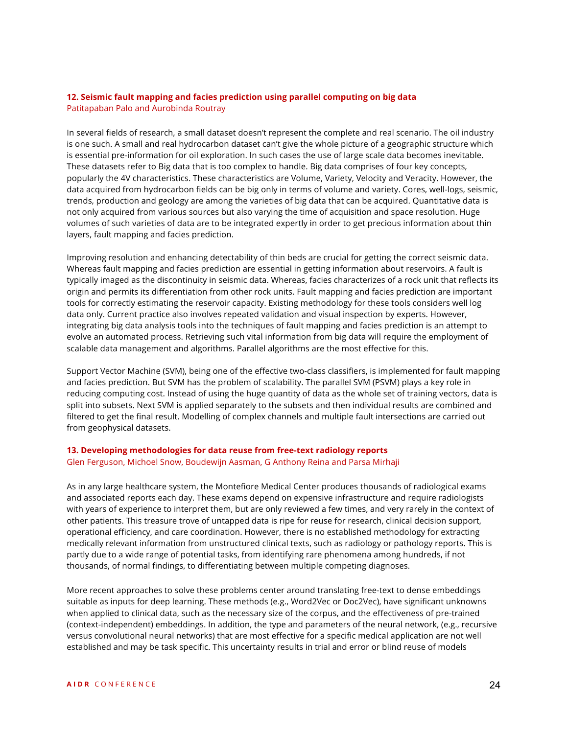### **12. Seismic fault mapping and facies prediction using parallel computing on big data** Patitapaban Palo and Aurobinda Routray

In several fields of research, a small dataset doesn't represent the complete and real scenario. The oil industry is one such. A small and real hydrocarbon dataset can't give the whole picture of a geographic structure which is essential pre-information for oil exploration. In such cases the use of large scale data becomes inevitable. These datasets refer to Big data that is too complex to handle. Big data comprises of four key concepts, popularly the 4V characteristics. These characteristics are Volume, Variety, Velocity and Veracity. However, the data acquired from hydrocarbon fields can be big only in terms of volume and variety. Cores, well-logs, seismic, trends, production and geology are among the varieties of big data that can be acquired. Quantitative data is not only acquired from various sources but also varying the time of acquisition and space resolution. Huge volumes of such varieties of data are to be integrated expertly in order to get precious information about thin layers, fault mapping and facies prediction.

Improving resolution and enhancing detectability of thin beds are crucial for getting the correct seismic data. Whereas fault mapping and facies prediction are essential in getting information about reservoirs. A fault is typically imaged as the discontinuity in seismic data. Whereas, facies characterizes of a rock unit that reflects its origin and permits its differentiation from other rock units. Fault mapping and facies prediction are important tools for correctly estimating the reservoir capacity. Existing methodology for these tools considers well log data only. Current practice also involves repeated validation and visual inspection by experts. However, integrating big data analysis tools into the techniques of fault mapping and facies prediction is an attempt to evolve an automated process. Retrieving such vital information from big data will require the employment of scalable data management and algorithms. Parallel algorithms are the most effective for this.

Support Vector Machine (SVM), being one of the effective two-class classifiers, is implemented for fault mapping and facies prediction. But SVM has the problem of scalability. The parallel SVM (PSVM) plays a key role in reducing computing cost. Instead of using the huge quantity of data as the whole set of training vectors, data is split into subsets. Next SVM is applied separately to the subsets and then individual results are combined and filtered to get the final result. Modelling of complex channels and multiple fault intersections are carried out from geophysical datasets.

### **13. Developing methodologies for data reuse from free-text radiology reports**  Glen Ferguson, Michoel Snow, Boudewijn Aasman, G Anthony Reina and Parsa Mirhaji

As in any large healthcare system, the Montefiore Medical Center produces thousands of radiological exams and associated reports each day. These exams depend on expensive infrastructure and require radiologists with years of experience to interpret them, but are only reviewed a few times, and very rarely in the context of other patients. This treasure trove of untapped data is ripe for reuse for research, clinical decision support, operational efficiency, and care coordination. However, there is no established methodology for extracting medically relevant information from unstructured clinical texts, such as radiology or pathology reports. This is partly due to a wide range of potential tasks, from identifying rare phenomena among hundreds, if not thousands, of normal findings, to differentiating between multiple competing diagnoses.

More recent approaches to solve these problems center around translating free-text to dense embeddings suitable as inputs for deep learning. These methods (e.g., Word2Vec or Doc2Vec), have significant unknowns when applied to clinical data, such as the necessary size of the corpus, and the effectiveness of pre-trained (context-independent) embeddings. In addition, the type and parameters of the neural network, (e.g., recursive versus convolutional neural networks) that are most effective for a specific medical application are not well established and may be task specific. This uncertainty results in trial and error or blind reuse of models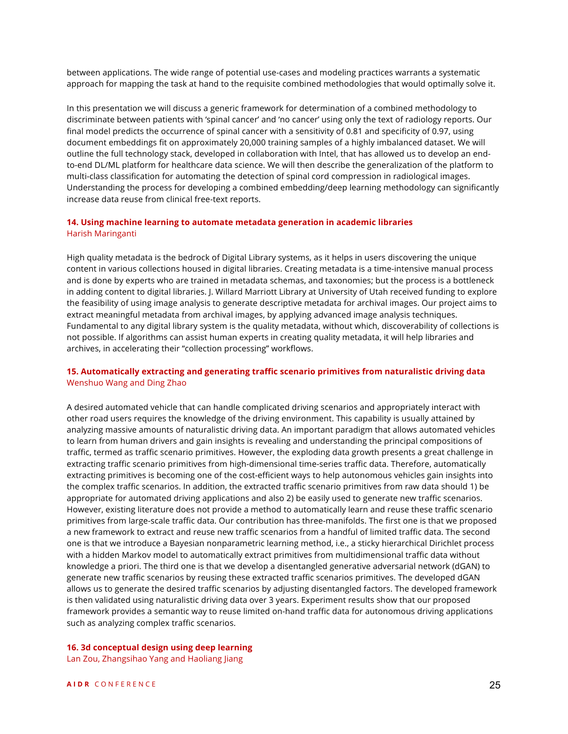between applications. The wide range of potential use-cases and modeling practices warrants a systematic approach for mapping the task at hand to the requisite combined methodologies that would optimally solve it.

In this presentation we will discuss a generic framework for determination of a combined methodology to discriminate between patients with 'spinal cancer' and 'no cancer' using only the text of radiology reports. Our final model predicts the occurrence of spinal cancer with a sensitivity of 0.81 and specificity of 0.97, using document embeddings fit on approximately 20,000 training samples of a highly imbalanced dataset. We will outline the full technology stack, developed in collaboration with Intel, that has allowed us to develop an endto-end DL/ML platform for healthcare data science. We will then describe the generalization of the platform to multi-class classification for automating the detection of spinal cord compression in radiological images. Understanding the process for developing a combined embedding/deep learning methodology can significantly increase data reuse from clinical free-text reports.

### **14. Using machine learning to automate metadata generation in academic libraries**  Harish Maringanti

High quality metadata is the bedrock of Digital Library systems, as it helps in users discovering the unique content in various collections housed in digital libraries. Creating metadata is a time-intensive manual process and is done by experts who are trained in metadata schemas, and taxonomies; but the process is a bottleneck in adding content to digital libraries. J. Willard Marriott Library at University of Utah received funding to explore the feasibility of using image analysis to generate descriptive metadata for archival images. Our project aims to extract meaningful metadata from archival images, by applying advanced image analysis techniques. Fundamental to any digital library system is the quality metadata, without which, discoverability of collections is not possible. If algorithms can assist human experts in creating quality metadata, it will help libraries and archives, in accelerating their "collection processing" workflows.

### **15. Automatically extracting and generating traffic scenario primitives from naturalistic driving data** Wenshuo Wang and Ding Zhao

A desired automated vehicle that can handle complicated driving scenarios and appropriately interact with other road users requires the knowledge of the driving environment. This capability is usually attained by analyzing massive amounts of naturalistic driving data. An important paradigm that allows automated vehicles to learn from human drivers and gain insights is revealing and understanding the principal compositions of traffic, termed as traffic scenario primitives. However, the exploding data growth presents a great challenge in extracting traffic scenario primitives from high-dimensional time-series traffic data. Therefore, automatically extracting primitives is becoming one of the cost-efficient ways to help autonomous vehicles gain insights into the complex traffic scenarios. In addition, the extracted traffic scenario primitives from raw data should 1) be appropriate for automated driving applications and also 2) be easily used to generate new traffic scenarios. However, existing literature does not provide a method to automatically learn and reuse these traffic scenario primitives from large-scale traffic data. Our contribution has three-manifolds. The first one is that we proposed a new framework to extract and reuse new traffic scenarios from a handful of limited traffic data. The second one is that we introduce a Bayesian nonparametric learning method, i.e., a sticky hierarchical Dirichlet process with a hidden Markov model to automatically extract primitives from multidimensional traffic data without knowledge a priori. The third one is that we develop a disentangled generative adversarial network (dGAN) to generate new traffic scenarios by reusing these extracted traffic scenarios primitives. The developed dGAN allows us to generate the desired traffic scenarios by adjusting disentangled factors. The developed framework is then validated using naturalistic driving data over 3 years. Experiment results show that our proposed framework provides a semantic way to reuse limited on-hand traffic data for autonomous driving applications such as analyzing complex traffic scenarios.

# **16. 3d conceptual design using deep learning**

Lan Zou, Zhangsihao Yang and Haoliang Jiang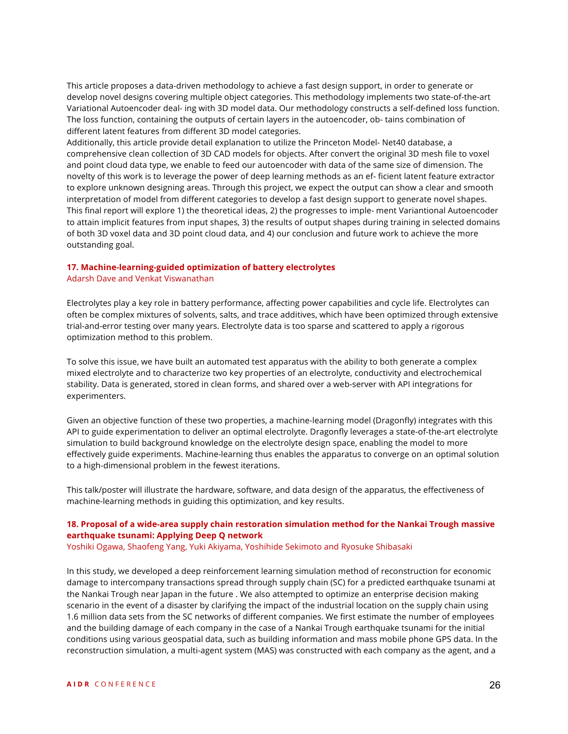This article proposes a data-driven methodology to achieve a fast design support, in order to generate or develop novel designs covering multiple object categories. This methodology implements two state-of-the-art Variational Autoencoder deal- ing with 3D model data. Our methodology constructs a self-defined loss function. The loss function, containing the outputs of certain layers in the autoencoder, ob- tains combination of different latent features from different 3D model categories.

Additionally, this article provide detail explanation to utilize the Princeton Model- Net40 database, a comprehensive clean collection of 3D CAD models for objects. After convert the original 3D mesh file to voxel and point cloud data type, we enable to feed our autoencoder with data of the same size of dimension. The novelty of this work is to leverage the power of deep learning methods as an ef- ficient latent feature extractor to explore unknown designing areas. Through this project, we expect the output can show a clear and smooth interpretation of model from different categories to develop a fast design support to generate novel shapes. This final report will explore 1) the theoretical ideas, 2) the progresses to imple- ment Variantional Autoencoder to attain implicit features from input shapes, 3) the results of output shapes during training in selected domains of both 3D voxel data and 3D point cloud data, and 4) our conclusion and future work to achieve the more outstanding goal.

# **17. Machine-learning-guided optimization of battery electrolytes**

Adarsh Dave and Venkat Viswanathan

Electrolytes play a key role in battery performance, affecting power capabilities and cycle life. Electrolytes can often be complex mixtures of solvents, salts, and trace additives, which have been optimized through extensive trial-and-error testing over many years. Electrolyte data is too sparse and scattered to apply a rigorous optimization method to this problem.

To solve this issue, we have built an automated test apparatus with the ability to both generate a complex mixed electrolyte and to characterize two key properties of an electrolyte, conductivity and electrochemical stability. Data is generated, stored in clean forms, and shared over a web-server with API integrations for experimenters.

Given an objective function of these two properties, a machine-learning model (Dragonfly) integrates with this API to guide experimentation to deliver an optimal electrolyte. Dragonfly leverages a state-of-the-art electrolyte simulation to build background knowledge on the electrolyte design space, enabling the model to more effectively guide experiments. Machine-learning thus enables the apparatus to converge on an optimal solution to a high-dimensional problem in the fewest iterations.

This talk/poster will illustrate the hardware, software, and data design of the apparatus, the effectiveness of machine-learning methods in guiding this optimization, and key results.

### **18. Proposal of a wide-area supply chain restoration simulation method for the Nankai Trough massive earthquake tsunami: Applying Deep Q network**

Yoshiki Ogawa, Shaofeng Yang, Yuki Akiyama, Yoshihide Sekimoto and Ryosuke Shibasaki

In this study, we developed a deep reinforcement learning simulation method of reconstruction for economic damage to intercompany transactions spread through supply chain (SC) for a predicted earthquake tsunami at the Nankai Trough near Japan in the future . We also attempted to optimize an enterprise decision making scenario in the event of a disaster by clarifying the impact of the industrial location on the supply chain using 1.6 million data sets from the SC networks of different companies. We first estimate the number of employees and the building damage of each company in the case of a Nankai Trough earthquake tsunami for the initial conditions using various geospatial data, such as building information and mass mobile phone GPS data. In the reconstruction simulation, a multi-agent system (MAS) was constructed with each company as the agent, and a